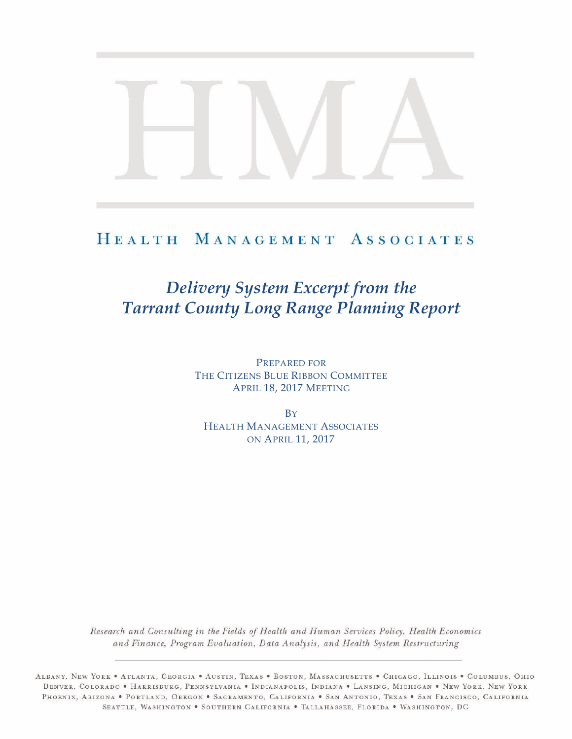# HEALTH MANAGEMENT ASSOCIATES

# *Delivery System Excerpt from the Tarrant County Long Range Planning Report*

PREPARED FOR THE CITIZENS BLUE RIBBON COMMITTEE APRIL 18, 2017 MEETING

**B**Y HEALTH MANAGEMENT ASSOCIATES ON APRIL 11, 2017

Research and Consulting in the Fields of Health and Human Services Policy, Health Economics and Finance, Program Evaluation, Data Analysis, and Health System Restructuring

ALBANY, NEW YORK . ATLANTA, GEORGIA . AUSTIN, TEXAS . BOSTON, MASSACHUSETTS . CHICAGO, ILLINOIS . COLUMBUS, OHIO DENVER, COLORADO • HARRISBURG, PENNSYLVANIA • INDIANAPOLIS, INDIANA • LANSING, MICHIGAN • NEW YORK, NEW YORK PHOENIX, ARIZONA . PORTLAND, OREGON . SACRAMENTO, CALIFORNIA . SAN ANTONIO, TEXAS . SAN FRANCISCO, CALIFORNIA SEATTLE, WASHINGTON . SOUTHERN CALIFORNIA . TALLAHASSEE, FLORIDA . WASHINGTON, DC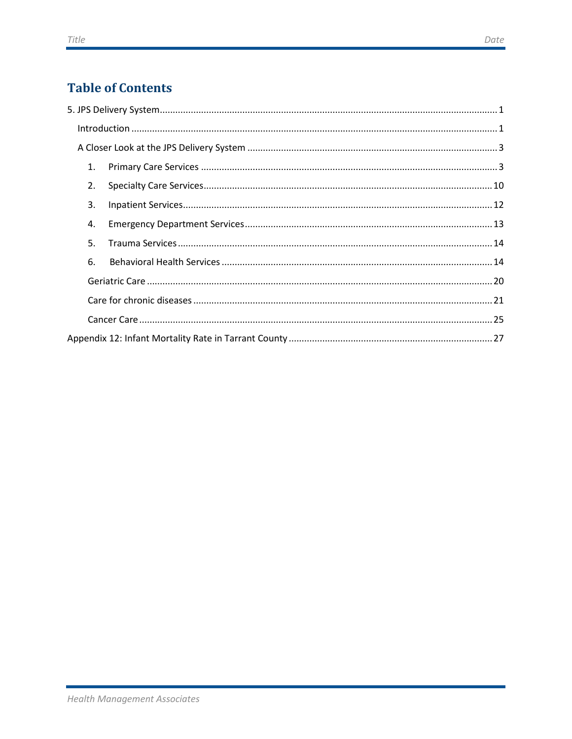# **Table of Contents**

|  | $\label{lem:1} \mbox{Introduction} \,\, \ldots \,\, \ldots \,\, \ldots \,\, \ldots \,\, \ldots \,\, \ldots \,\, \ldots \,\, \ldots \,\, \ldots \,\, \ldots \,\, \ldots \,\, \ldots \,\, \ldots \,\, \ldots \,\, \ldots \,\, \ldots \,\, \ldots \,\, \ldots \,\, \ldots \,\, \ldots \,\, \ldots \,\, \ldots \,\, \ldots \,\, \ldots \,\, \ldots \,\, \ldots \,\, \ldots \,\, \ldots \,\, \ldots \,\, \ldots \,\, \ldots \,\, \ldots \,\, \ldots \,\, \ldots \,\,$ |  |  |  |  |
|--|------------------------------------------------------------------------------------------------------------------------------------------------------------------------------------------------------------------------------------------------------------------------------------------------------------------------------------------------------------------------------------------------------------------------------------------------------------------|--|--|--|--|
|  |                                                                                                                                                                                                                                                                                                                                                                                                                                                                  |  |  |  |  |
|  | 1.                                                                                                                                                                                                                                                                                                                                                                                                                                                               |  |  |  |  |
|  | 2.                                                                                                                                                                                                                                                                                                                                                                                                                                                               |  |  |  |  |
|  | 3.                                                                                                                                                                                                                                                                                                                                                                                                                                                               |  |  |  |  |
|  | 4.                                                                                                                                                                                                                                                                                                                                                                                                                                                               |  |  |  |  |
|  | 5.                                                                                                                                                                                                                                                                                                                                                                                                                                                               |  |  |  |  |
|  | 6.                                                                                                                                                                                                                                                                                                                                                                                                                                                               |  |  |  |  |
|  |                                                                                                                                                                                                                                                                                                                                                                                                                                                                  |  |  |  |  |
|  |                                                                                                                                                                                                                                                                                                                                                                                                                                                                  |  |  |  |  |
|  |                                                                                                                                                                                                                                                                                                                                                                                                                                                                  |  |  |  |  |
|  |                                                                                                                                                                                                                                                                                                                                                                                                                                                                  |  |  |  |  |
|  |                                                                                                                                                                                                                                                                                                                                                                                                                                                                  |  |  |  |  |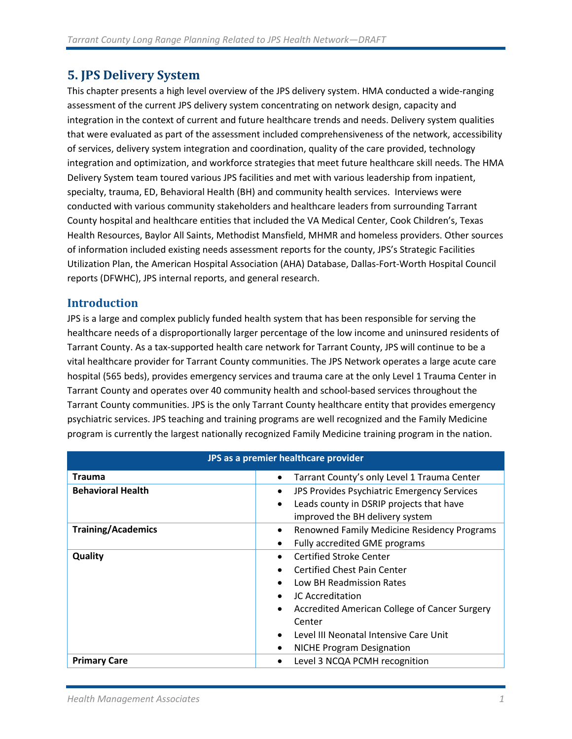### <span id="page-2-0"></span>**5. JPS Delivery System**

This chapter presents a high level overview of the JPS delivery system. HMA conducted a wide-ranging assessment of the current JPS delivery system concentrating on network design, capacity and integration in the context of current and future healthcare trends and needs. Delivery system qualities that were evaluated as part of the assessment included comprehensiveness of the network, accessibility of services, delivery system integration and coordination, quality of the care provided, technology integration and optimization, and workforce strategies that meet future healthcare skill needs. The HMA Delivery System team toured various JPS facilities and met with various leadership from inpatient, specialty, trauma, ED, Behavioral Health (BH) and community health services. Interviews were conducted with various community stakeholders and healthcare leaders from surrounding Tarrant County hospital and healthcare entities that included the VA Medical Center, Cook Children's, Texas Health Resources, Baylor All Saints, Methodist Mansfield, MHMR and homeless providers. Other sources of information included existing needs assessment reports for the county, JPS's Strategic Facilities Utilization Plan, the American Hospital Association (AHA) Database, Dallas-Fort-Worth Hospital Council reports (DFWHC), JPS internal reports, and general research.

### <span id="page-2-1"></span>**Introduction**

JPS is a large and complex publicly funded health system that has been responsible for serving the healthcare needs of a disproportionally larger percentage of the low income and uninsured residents of Tarrant County. As a tax-supported health care network for Tarrant County, JPS will continue to be a vital healthcare provider for Tarrant County communities. The JPS Network operates a large acute care hospital (565 beds), provides emergency services and trauma care at the only Level 1 Trauma Center in Tarrant County and operates over 40 community health and school-based services throughout the Tarrant County communities. JPS is the only Tarrant County healthcare entity that provides emergency psychiatric services. JPS teaching and training programs are well recognized and the Family Medicine program is currently the largest nationally recognized Family Medicine training program in the nation.

| JPS as a premier healthcare provider |                                                            |  |  |
|--------------------------------------|------------------------------------------------------------|--|--|
| Trauma                               | Tarrant County's only Level 1 Trauma Center<br>$\bullet$   |  |  |
| <b>Behavioral Health</b>             | JPS Provides Psychiatric Emergency Services<br>$\bullet$   |  |  |
|                                      | Leads county in DSRIP projects that have<br>$\bullet$      |  |  |
|                                      | improved the BH delivery system                            |  |  |
| <b>Training/Academics</b>            | Renowned Family Medicine Residency Programs<br>$\bullet$   |  |  |
|                                      | Fully accredited GME programs<br>$\bullet$                 |  |  |
| Quality                              | <b>Certified Stroke Center</b><br>$\bullet$                |  |  |
|                                      | <b>Certified Chest Pain Center</b>                         |  |  |
|                                      | Low BH Readmission Rates                                   |  |  |
|                                      | JC Accreditation<br>$\bullet$                              |  |  |
|                                      | Accredited American College of Cancer Surgery<br>$\bullet$ |  |  |
|                                      | Center                                                     |  |  |
|                                      | Level III Neonatal Intensive Care Unit<br>$\bullet$        |  |  |
|                                      | <b>NICHE Program Designation</b><br>$\bullet$              |  |  |
| <b>Primary Care</b>                  | Level 3 NCQA PCMH recognition<br>$\bullet$                 |  |  |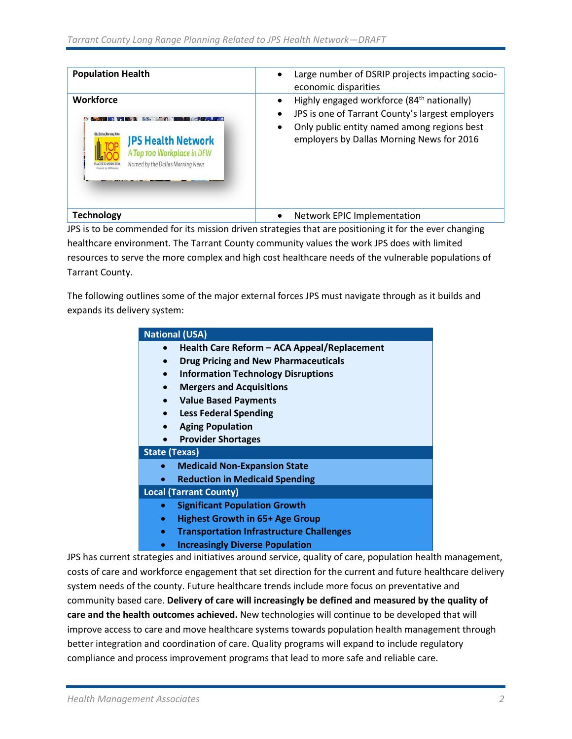| <b>Population Health</b>                                                                                                                          | Large number of DSRIP projects impacting socio-<br>economic disparities                                                                                                                                                          |
|---------------------------------------------------------------------------------------------------------------------------------------------------|----------------------------------------------------------------------------------------------------------------------------------------------------------------------------------------------------------------------------------|
| Workforce<br><b><i>Bur Ballas Maraina Keta</i></b><br><b>JPS Health Network</b><br>A Top 100 Workplace in DFW<br>Named by the Dallas Morning News | Highly engaged workforce (84 <sup>th</sup> nationally)<br>JPS is one of Tarrant County's largest employers<br>$\bullet$<br>Only public entity named among regions best<br>$\bullet$<br>employers by Dallas Morning News for 2016 |
| <b>Technology</b>                                                                                                                                 | Network EPIC Implementation<br>$\bullet$                                                                                                                                                                                         |

JPS is to be commended for its mission driven strategies that are positioning it for the ever changing healthcare environment. The Tarrant County community values the work JPS does with limited resources to serve the more complex and high cost healthcare needs of the vulnerable populations of Tarrant County.

The following outlines some of the major external forces JPS must navigate through as it builds and expands its delivery system:

| <b>National (USA)</b>                                        |  |  |  |
|--------------------------------------------------------------|--|--|--|
| Health Care Reform - ACA Appeal/Replacement                  |  |  |  |
| <b>Drug Pricing and New Pharmaceuticals</b>                  |  |  |  |
| <b>Information Technology Disruptions</b><br>$\bullet$       |  |  |  |
| <b>Mergers and Acquisitions</b>                              |  |  |  |
| <b>Value Based Payments</b><br>$\bullet$                     |  |  |  |
| <b>Less Federal Spending</b>                                 |  |  |  |
| <b>Aging Population</b>                                      |  |  |  |
| <b>Provider Shortages</b>                                    |  |  |  |
| <b>State (Texas)</b>                                         |  |  |  |
| <b>Medicaid Non-Expansion State</b>                          |  |  |  |
| <b>Reduction in Medicaid Spending</b>                        |  |  |  |
| <b>Local (Tarrant County)</b>                                |  |  |  |
| <b>Significant Population Growth</b>                         |  |  |  |
| <b>Highest Growth in 65+ Age Group</b><br>$\bullet$          |  |  |  |
| <b>Transportation Infrastructure Challenges</b><br>$\bullet$ |  |  |  |
| <b>Increasingly Diverse Population</b>                       |  |  |  |

JPS has current strategies and initiatives around service, quality of care, population health management, costs of care and workforce engagement that set direction for the current and future healthcare delivery system needs of the county. Future healthcare trends include more focus on preventative and community based care. **Delivery of care will increasingly be defined and measured by the quality of care and the health outcomes achieved.** New technologies will continue to be developed that will improve access to care and move healthcare systems towards population health management through better integration and coordination of care. Quality programs will expand to include regulatory compliance and process improvement programs that lead to more safe and reliable care.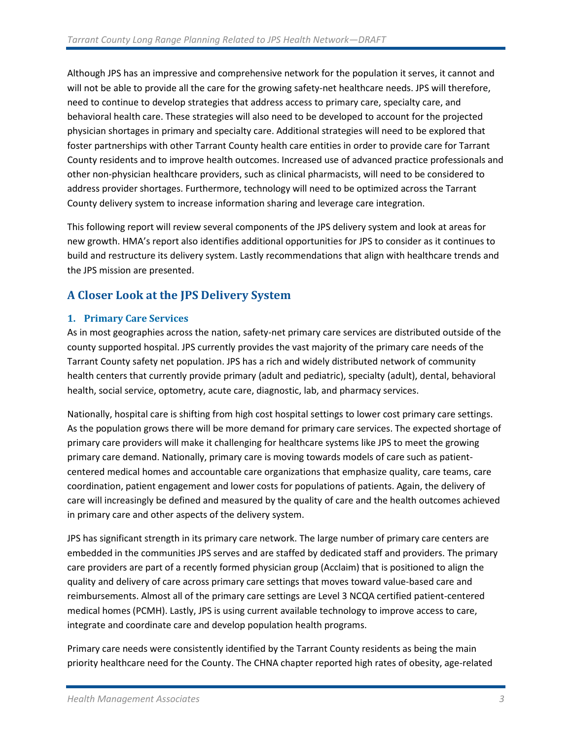Although JPS has an impressive and comprehensive network for the population it serves, it cannot and will not be able to provide all the care for the growing safety-net healthcare needs. JPS will therefore, need to continue to develop strategies that address access to primary care, specialty care, and behavioral health care. These strategies will also need to be developed to account for the projected physician shortages in primary and specialty care. Additional strategies will need to be explored that foster partnerships with other Tarrant County health care entities in order to provide care for Tarrant County residents and to improve health outcomes. Increased use of advanced practice professionals and other non-physician healthcare providers, such as clinical pharmacists, will need to be considered to address provider shortages. Furthermore, technology will need to be optimized across the Tarrant County delivery system to increase information sharing and leverage care integration.

This following report will review several components of the JPS delivery system and look at areas for new growth. HMA's report also identifies additional opportunities for JPS to consider as it continues to build and restructure its delivery system. Lastly recommendations that align with healthcare trends and the JPS mission are presented.

### <span id="page-4-0"></span>**A Closer Look at the JPS Delivery System**

#### <span id="page-4-1"></span>**1. Primary Care Services**

As in most geographies across the nation, safety-net primary care services are distributed outside of the county supported hospital. JPS currently provides the vast majority of the primary care needs of the Tarrant County safety net population. JPS has a rich and widely distributed network of community health centers that currently provide primary (adult and pediatric), specialty (adult), dental, behavioral health, social service, optometry, acute care, diagnostic, lab, and pharmacy services.

Nationally, hospital care is shifting from high cost hospital settings to lower cost primary care settings. As the population grows there will be more demand for primary care services. The expected shortage of primary care providers will make it challenging for healthcare systems like JPS to meet the growing primary care demand. Nationally, primary care is moving towards models of care such as patientcentered medical homes and accountable care organizations that emphasize quality, care teams, care coordination, patient engagement and lower costs for populations of patients. Again, the delivery of care will increasingly be defined and measured by the quality of care and the health outcomes achieved in primary care and other aspects of the delivery system.

JPS has significant strength in its primary care network. The large number of primary care centers are embedded in the communities JPS serves and are staffed by dedicated staff and providers. The primary care providers are part of a recently formed physician group (Acclaim) that is positioned to align the quality and delivery of care across primary care settings that moves toward value-based care and reimbursements. Almost all of the primary care settings are Level 3 NCQA certified patient-centered medical homes (PCMH). Lastly, JPS is using current available technology to improve access to care, integrate and coordinate care and develop population health programs.

Primary care needs were consistently identified by the Tarrant County residents as being the main priority healthcare need for the County. The CHNA chapter reported high rates of obesity, age-related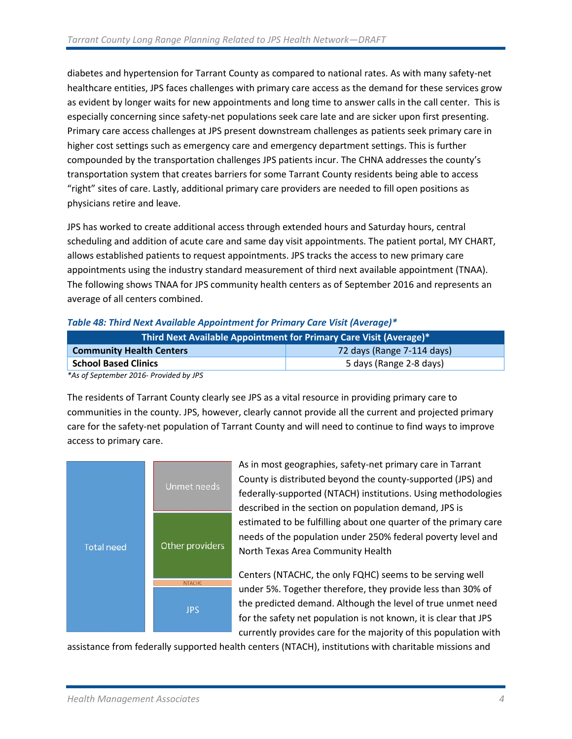diabetes and hypertension for Tarrant County as compared to national rates. As with many safety-net healthcare entities, JPS faces challenges with primary care access as the demand for these services grow as evident by longer waits for new appointments and long time to answer calls in the call center. This is especially concerning since safety-net populations seek care late and are sicker upon first presenting. Primary care access challenges at JPS present downstream challenges as patients seek primary care in higher cost settings such as emergency care and emergency department settings. This is further compounded by the transportation challenges JPS patients incur. The CHNA addresses the county's transportation system that creates barriers for some Tarrant County residents being able to access "right" sites of care. Lastly, additional primary care providers are needed to fill open positions as physicians retire and leave.

JPS has worked to create additional access through extended hours and Saturday hours, central scheduling and addition of acute care and same day visit appointments. The patient portal, MY CHART, allows established patients to request appointments. JPS tracks the access to new primary care appointments using the industry standard measurement of third next available appointment (TNAA). The following shows TNAA for JPS community health centers as of September 2016 and represents an average of all centers combined.

| <u>, and the contract of the contract of the contract of the contract of the contract of the contract of the contract of the contract of the contract of the contract of the contract of the contract of the contract of the con</u><br>Third Next Available Appointment for Primary Care Visit (Average)* |                         |  |  |
|------------------------------------------------------------------------------------------------------------------------------------------------------------------------------------------------------------------------------------------------------------------------------------------------------------|-------------------------|--|--|
| 72 days (Range 7-114 days)<br><b>Community Health Centers</b>                                                                                                                                                                                                                                              |                         |  |  |
| <b>School Based Clinics</b>                                                                                                                                                                                                                                                                                | 5 days (Range 2-8 days) |  |  |

#### *Table 48: Third Next Available Appointment for Primary Care Visit (Average)\**

*\*As of September 2016- Provided by JPS*

The residents of Tarrant County clearly see JPS as a vital resource in providing primary care to communities in the county. JPS, however, clearly cannot provide all the current and projected primary care for the safety-net population of Tarrant County and will need to continue to find ways to improve access to primary care.



As in most geographies, safety-net primary care in Tarrant County is distributed beyond the county-supported (JPS) and federally-supported (NTACH) institutions. Using methodologies described in the section on population demand, JPS is estimated to be fulfilling about one quarter of the primary care needs of the population under 250% federal poverty level and North Texas Area Community Health

Centers (NTACHC, the only FQHC) seems to be serving well under 5%. Together therefore, they provide less than 30% of the predicted demand. Although the level of true unmet need for the safety net population is not known, it is clear that JPS currently provides care for the majority of this population with

assistance from federally supported health centers (NTACH), institutions with charitable missions and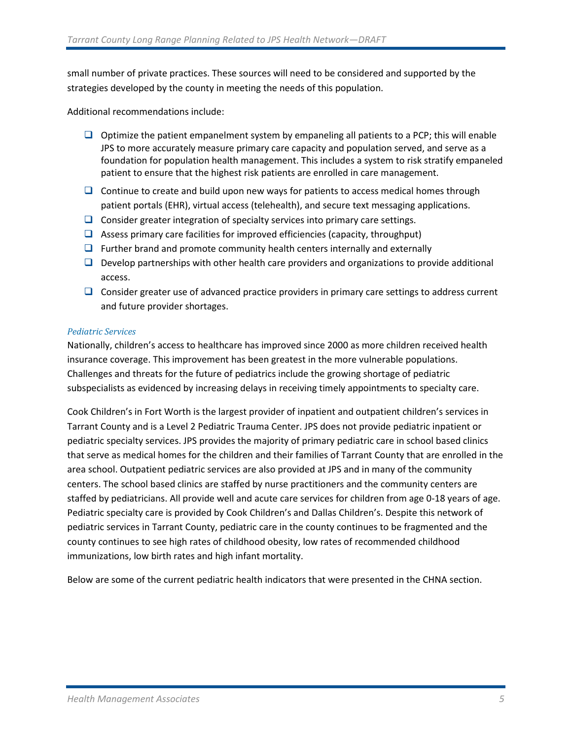small number of private practices. These sources will need to be considered and supported by the strategies developed by the county in meeting the needs of this population.

Additional recommendations include:

- $\Box$  Optimize the patient empanelment system by empaneling all patients to a PCP; this will enable JPS to more accurately measure primary care capacity and population served, and serve as a foundation for population health management. This includes a system to risk stratify empaneled patient to ensure that the highest risk patients are enrolled in care management.
- $\Box$  Continue to create and build upon new ways for patients to access medical homes through patient portals (EHR), virtual access (telehealth), and secure text messaging applications.
- $\Box$  Consider greater integration of specialty services into primary care settings.
- $\Box$  Assess primary care facilities for improved efficiencies (capacity, throughput)
- $\Box$  Further brand and promote community health centers internally and externally
- $\Box$  Develop partnerships with other health care providers and organizations to provide additional access.
- $\Box$  Consider greater use of advanced practice providers in primary care settings to address current and future provider shortages.

#### *Pediatric Services*

Nationally, children's access to healthcare has improved since 2000 as more children received health insurance coverage. This improvement has been greatest in the more vulnerable populations. Challenges and threats for the future of pediatrics include the growing shortage of pediatric subspecialists as evidenced by increasing delays in receiving timely appointments to specialty care.

Cook Children's in Fort Worth is the largest provider of inpatient and outpatient children's services in Tarrant County and is a Level 2 Pediatric Trauma Center. JPS does not provide pediatric inpatient or pediatric specialty services. JPS provides the majority of primary pediatric care in school based clinics that serve as medical homes for the children and their families of Tarrant County that are enrolled in the area school. Outpatient pediatric services are also provided at JPS and in many of the community centers. The school based clinics are staffed by nurse practitioners and the community centers are staffed by pediatricians. All provide well and acute care services for children from age 0-18 years of age. Pediatric specialty care is provided by Cook Children's and Dallas Children's. Despite this network of pediatric services in Tarrant County, pediatric care in the county continues to be fragmented and the county continues to see high rates of childhood obesity, low rates of recommended childhood immunizations, low birth rates and high infant mortality.

Below are some of the current pediatric health indicators that were presented in the CHNA section.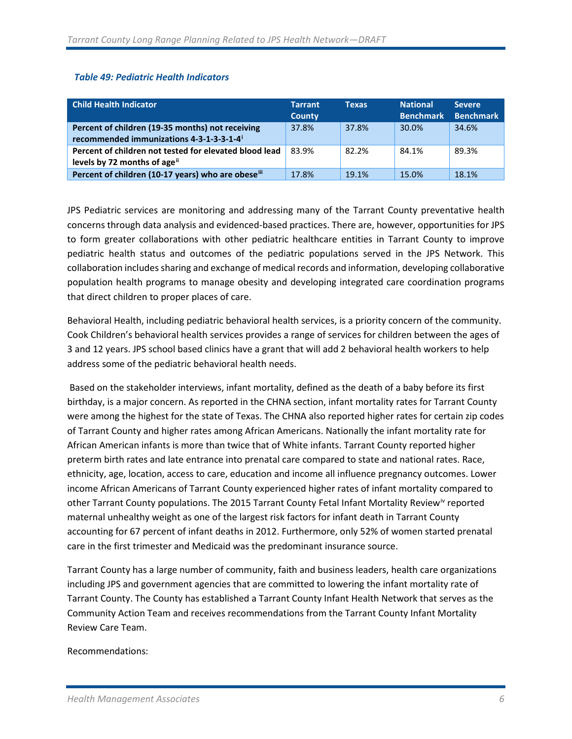#### *Table 49: Pediatric Health Indicators*

| <b>Child Health Indicator</b>                                                                            | <b>Tarrant</b><br><b>County</b> | <b>Texas</b> | <b>National</b><br><b>Benchmark</b> | <b>Severe</b><br><b>Benchmark</b> |
|----------------------------------------------------------------------------------------------------------|---------------------------------|--------------|-------------------------------------|-----------------------------------|
| Percent of children (19-35 months) not receiving<br>recommended immunizations 4-3-1-3-3-1-4 <sup>i</sup> | 37.8%                           | 37.8%        | 30.0%                               | 34.6%                             |
| Percent of children not tested for elevated blood lead<br>levels by 72 months of age <sup>ii</sup>       | 83.9%                           | 82.2%        | 84.1%                               | 89.3%                             |
| Percent of children (10-17 years) who are obeseiii                                                       | 17.8%                           | 19.1%        | 15.0%                               | 18.1%                             |

JPS Pediatric services are monitoring and addressing many of the Tarrant County preventative health concerns through data analysis and evidenced-based practices. There are, however, opportunities for JPS to form greater collaborations with other pediatric healthcare entities in Tarrant County to improve pediatric health status and outcomes of the pediatric populations served in the JPS Network. This collaboration includes sharing and exchange of medical records and information, developing collaborative population health programs to manage obesity and developing integrated care coordination programs that direct children to proper places of care.

Behavioral Health, including pediatric behavioral health services, is a priority concern of the community. Cook Children's behavioral health services provides a range of services for children between the ages of 3 and 12 years. JPS school based clinics have a grant that will add 2 behavioral health workers to help address some of the pediatric behavioral health needs.

Based on the stakeholder interviews, infant mortality, defined as the death of a baby before its first birthday, is a major concern. As reported in the CHNA section, infant mortality rates for Tarrant County were among the highest for the state of Texas. The CHNA also reported higher rates for certain zip codes of Tarrant County and higher rates among African Americans. Nationally the infant mortality rate for African American infants is more than twice that of White infants. Tarrant County reported higher preterm birth rates and late entrance into prenatal care compared to state and national rates. Race, ethnicity, age, location, access to care, education and income all influence pregnancy outcomes. Lower income African Americans of Tarrant County experienced higher rates of infant mortality compared to other Tarrant County populations. The 2015 Tarrant County Fetal Infant Mortality Review<sup>[iv](#page-31-3)</sup> reported maternal unhealthy weight as one of the largest risk factors for infant death in Tarrant County accounting for 67 percent of infant deaths in 2012. Furthermore, only 52% of women started prenatal care in the first trimester and Medicaid was the predominant insurance source.

Tarrant County has a large number of community, faith and business leaders, health care organizations including JPS and government agencies that are committed to lowering the infant mortality rate of Tarrant County. The County has established a Tarrant County Infant Health Network that serves as the Community Action Team and receives recommendations from the Tarrant County Infant Mortality Review Care Team.

Recommendations: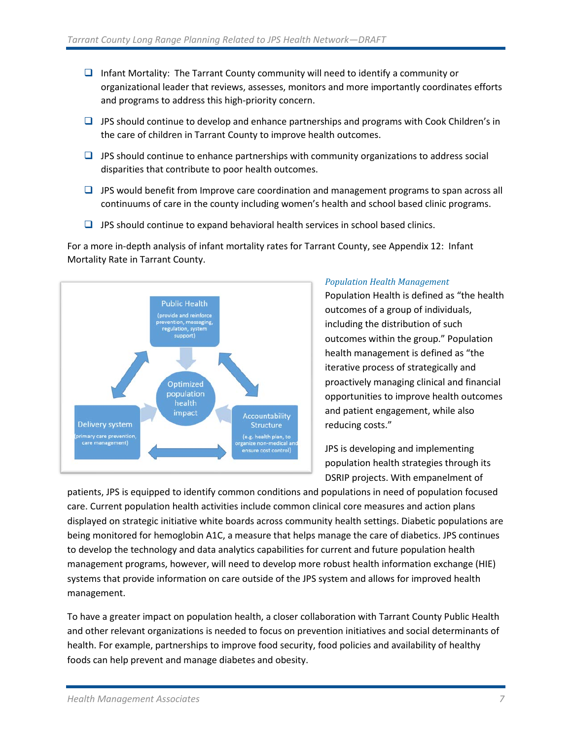- $\Box$  Infant Mortality: The Tarrant County community will need to identify a community or organizational leader that reviews, assesses, monitors and more importantly coordinates efforts and programs to address this high-priority concern.
- $\Box$  JPS should continue to develop and enhance partnerships and programs with Cook Children's in the care of children in Tarrant County to improve health outcomes.
- $\Box$  JPS should continue to enhance partnerships with community organizations to address social disparities that contribute to poor health outcomes.
- $\Box$  JPS would benefit from Improve care coordination and management programs to span across all continuums of care in the county including women's health and school based clinic programs.
- $\Box$  JPS should continue to expand behavioral health services in school based clinics.

For a more in-depth analysis of infant mortality rates for Tarrant County, see Appendix 12: Infant Mortality Rate in Tarrant County.



#### *Population Health Management*

Population Health is defined as "the health outcomes of a group of individuals, including the distribution of such outcomes within the group." Population health management is defined as "the iterative process of strategically and proactively managing clinical and financial opportunities to improve health outcomes and patient engagement, while also reducing costs."

JPS is developing and implementing population health strategies through its DSRIP projects. With empanelment of

patients, JPS is equipped to identify common conditions and populations in need of population focused care. Current population health activities include common clinical core measures and action plans displayed on strategic initiative white boards across community health settings. Diabetic populations are being monitored for hemoglobin A1C, a measure that helps manage the care of diabetics. JPS continues to develop the technology and data analytics capabilities for current and future population health management programs, however, will need to develop more robust health information exchange (HIE) systems that provide information on care outside of the JPS system and allows for improved health management.

To have a greater impact on population health, a closer collaboration with Tarrant County Public Health and other relevant organizations is needed to focus on prevention initiatives and social determinants of health. For example, partnerships to improve food security, food policies and availability of healthy foods can help prevent and manage diabetes and obesity.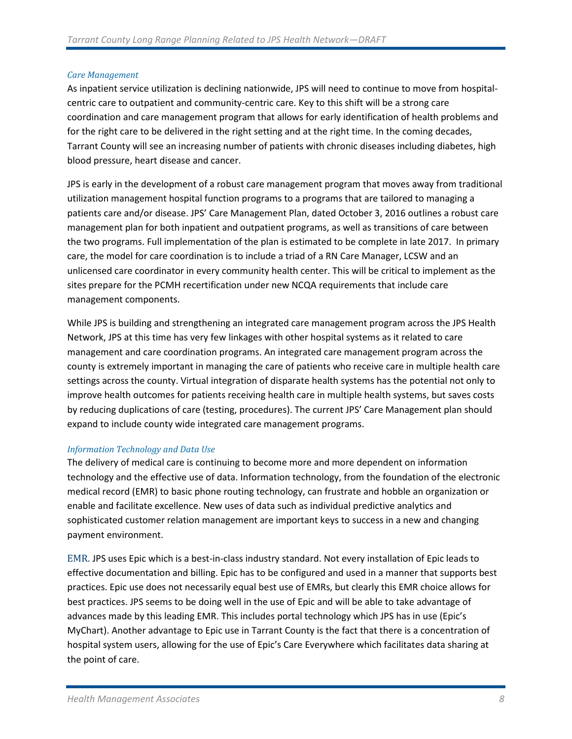#### *Care Management*

As inpatient service utilization is declining nationwide, JPS will need to continue to move from hospitalcentric care to outpatient and community-centric care. Key to this shift will be a strong care coordination and care management program that allows for early identification of health problems and for the right care to be delivered in the right setting and at the right time. In the coming decades, Tarrant County will see an increasing number of patients with chronic diseases including diabetes, high blood pressure, heart disease and cancer.

JPS is early in the development of a robust care management program that moves away from traditional utilization management hospital function programs to a programs that are tailored to managing a patients care and/or disease. JPS' Care Management Plan, dated October 3, 2016 outlines a robust care management plan for both inpatient and outpatient programs, as well as transitions of care between the two programs. Full implementation of the plan is estimated to be complete in late 2017. In primary care, the model for care coordination is to include a triad of a RN Care Manager, LCSW and an unlicensed care coordinator in every community health center. This will be critical to implement as the sites prepare for the PCMH recertification under new NCQA requirements that include care management components.

While JPS is building and strengthening an integrated care management program across the JPS Health Network, JPS at this time has very few linkages with other hospital systems as it related to care management and care coordination programs. An integrated care management program across the county is extremely important in managing the care of patients who receive care in multiple health care settings across the county. Virtual integration of disparate health systems has the potential not only to improve health outcomes for patients receiving health care in multiple health systems, but saves costs by reducing duplications of care (testing, procedures). The current JPS' Care Management plan should expand to include county wide integrated care management programs.

#### *Information Technology and Data Use*

The delivery of medical care is continuing to become more and more dependent on information technology and the effective use of data. Information technology, from the foundation of the electronic medical record (EMR) to basic phone routing technology, can frustrate and hobble an organization or enable and facilitate excellence. New uses of data such as individual predictive analytics and sophisticated customer relation management are important keys to success in a new and changing payment environment.

EMR. JPS uses Epic which is a best-in-class industry standard. Not every installation of Epic leads to effective documentation and billing. Epic has to be configured and used in a manner that supports best practices. Epic use does not necessarily equal best use of EMRs, but clearly this EMR choice allows for best practices. JPS seems to be doing well in the use of Epic and will be able to take advantage of advances made by this leading EMR. This includes portal technology which JPS has in use (Epic's MyChart). Another advantage to Epic use in Tarrant County is the fact that there is a concentration of hospital system users, allowing for the use of Epic's Care Everywhere which facilitates data sharing at the point of care.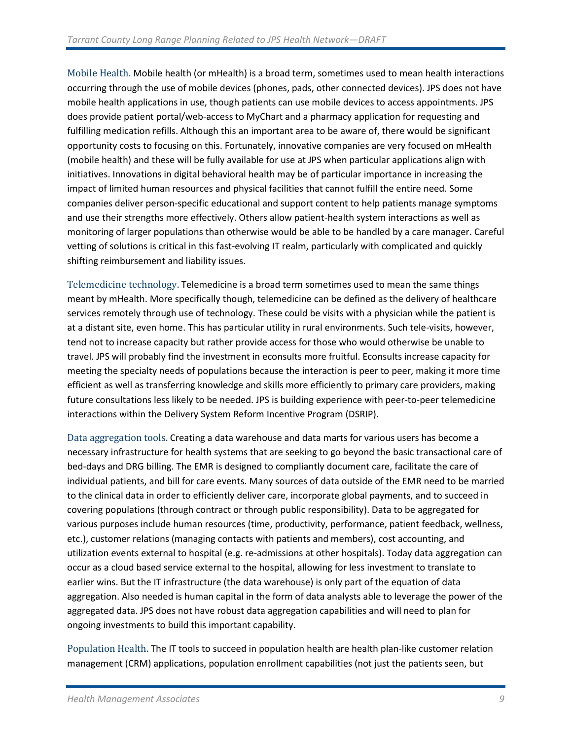Mobile Health. Mobile health (or mHealth) is a broad term, sometimes used to mean health interactions occurring through the use of mobile devices (phones, pads, other connected devices). JPS does not have mobile health applications in use, though patients can use mobile devices to access appointments. JPS does provide patient portal/web-access to MyChart and a pharmacy application for requesting and fulfilling medication refills. Although this an important area to be aware of, there would be significant opportunity costs to focusing on this. Fortunately, innovative companies are very focused on mHealth (mobile health) and these will be fully available for use at JPS when particular applications align with initiatives. Innovations in digital behavioral health may be of particular importance in increasing the impact of limited human resources and physical facilities that cannot fulfill the entire need. Some companies deliver person-specific educational and support content to help patients manage symptoms and use their strengths more effectively. Others allow patient-health system interactions as well as monitoring of larger populations than otherwise would be able to be handled by a care manager. Careful vetting of solutions is critical in this fast-evolving IT realm, particularly with complicated and quickly shifting reimbursement and liability issues.

Telemedicine technology. Telemedicine is a broad term sometimes used to mean the same things meant by mHealth. More specifically though, telemedicine can be defined as the delivery of healthcare services remotely through use of technology. These could be visits with a physician while the patient is at a distant site, even home. This has particular utility in rural environments. Such tele-visits, however, tend not to increase capacity but rather provide access for those who would otherwise be unable to travel. JPS will probably find the investment in econsults more fruitful. Econsults increase capacity for meeting the specialty needs of populations because the interaction is peer to peer, making it more time efficient as well as transferring knowledge and skills more efficiently to primary care providers, making future consultations less likely to be needed. JPS is building experience with peer-to-peer telemedicine interactions within the Delivery System Reform Incentive Program (DSRIP).

Data aggregation tools. Creating a data warehouse and data marts for various users has become a necessary infrastructure for health systems that are seeking to go beyond the basic transactional care of bed-days and DRG billing. The EMR is designed to compliantly document care, facilitate the care of individual patients, and bill for care events. Many sources of data outside of the EMR need to be married to the clinical data in order to efficiently deliver care, incorporate global payments, and to succeed in covering populations (through contract or through public responsibility). Data to be aggregated for various purposes include human resources (time, productivity, performance, patient feedback, wellness, etc.), customer relations (managing contacts with patients and members), cost accounting, and utilization events external to hospital (e.g. re-admissions at other hospitals). Today data aggregation can occur as a cloud based service external to the hospital, allowing for less investment to translate to earlier wins. But the IT infrastructure (the data warehouse) is only part of the equation of data aggregation. Also needed is human capital in the form of data analysts able to leverage the power of the aggregated data. JPS does not have robust data aggregation capabilities and will need to plan for ongoing investments to build this important capability.

Population Health. The IT tools to succeed in population health are health plan-like customer relation management (CRM) applications, population enrollment capabilities (not just the patients seen, but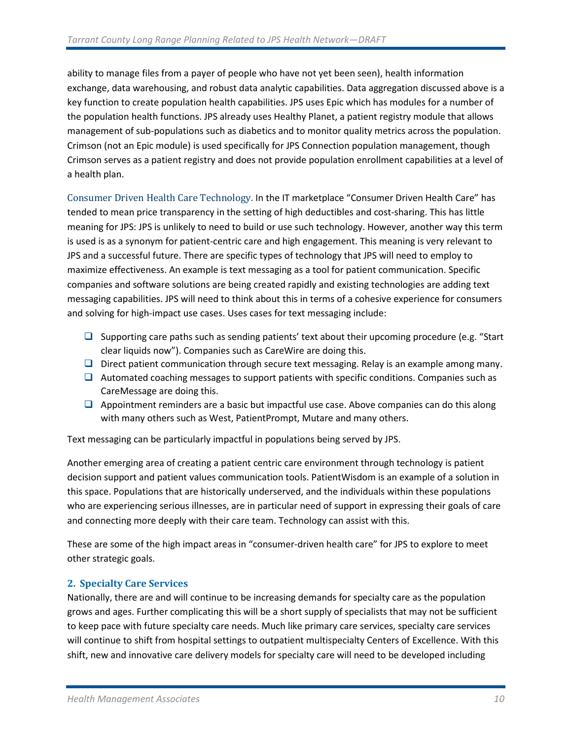ability to manage files from a payer of people who have not yet been seen), health information exchange, data warehousing, and robust data analytic capabilities. Data aggregation discussed above is a key function to create population health capabilities. JPS uses Epic which has modules for a number of the population health functions. JPS already uses Healthy Planet, a patient registry module that allows management of sub-populations such as diabetics and to monitor quality metrics across the population. Crimson (not an Epic module) is used specifically for JPS Connection population management, though Crimson serves as a patient registry and does not provide population enrollment capabilities at a level of a health plan.

Consumer Driven Health Care Technology. In the IT marketplace "Consumer Driven Health Care" has tended to mean price transparency in the setting of high deductibles and cost-sharing. This has little meaning for JPS: JPS is unlikely to need to build or use such technology. However, another way this term is used is as a synonym for patient-centric care and high engagement. This meaning is very relevant to JPS and a successful future. There are specific types of technology that JPS will need to employ to maximize effectiveness. An example is text messaging as a tool for patient communication. Specific companies and software solutions are being created rapidly and existing technologies are adding text messaging capabilities. JPS will need to think about this in terms of a cohesive experience for consumers and solving for high-impact use cases. Uses cases for text messaging include:

- $\Box$  Supporting care paths such as sending patients' text about their upcoming procedure (e.g. "Start clear liquids now"). Companies such as CareWire are doing this.
- **D** Direct patient communication through secure text messaging. Relay is an example among many.
- $\Box$  Automated coaching messages to support patients with specific conditions. Companies such as CareMessage are doing this.
- $\Box$  Appointment reminders are a basic but impactful use case. Above companies can do this along with many others such as West, PatientPrompt, Mutare and many others.

Text messaging can be particularly impactful in populations being served by JPS.

Another emerging area of creating a patient centric care environment through technology is patient decision support and patient values communication tools. PatientWisdom is an example of a solution in this space. Populations that are historically underserved, and the individuals within these populations who are experiencing serious illnesses, are in particular need of support in expressing their goals of care and connecting more deeply with their care team. Technology can assist with this.

These are some of the high impact areas in "consumer-driven health care" for JPS to explore to meet other strategic goals.

#### <span id="page-11-0"></span>**2. Specialty Care Services**

Nationally, there are and will continue to be increasing demands for specialty care as the population grows and ages. Further complicating this will be a short supply of specialists that may not be sufficient to keep pace with future specialty care needs. Much like primary care services, specialty care services will continue to shift from hospital settings to outpatient multispecialty Centers of Excellence. With this shift, new and innovative care delivery models for specialty care will need to be developed including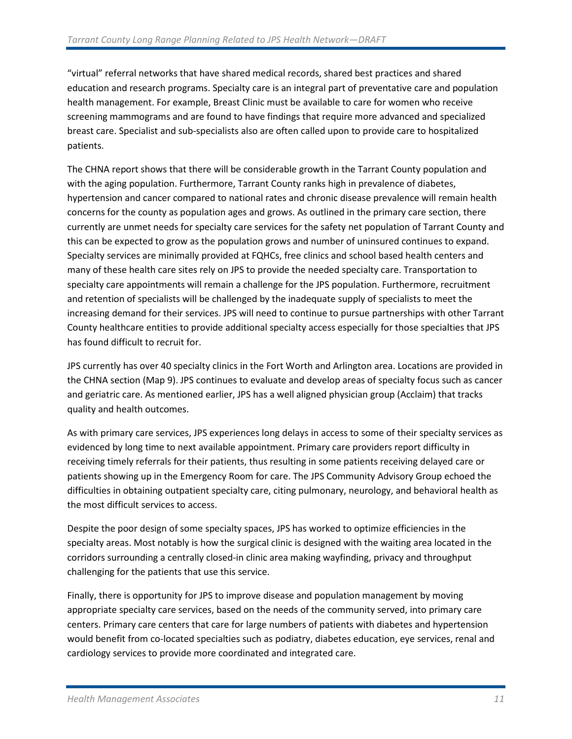"virtual" referral networks that have shared medical records, shared best practices and shared education and research programs. Specialty care is an integral part of preventative care and population health management. For example, Breast Clinic must be available to care for women who receive screening mammograms and are found to have findings that require more advanced and specialized breast care. Specialist and sub-specialists also are often called upon to provide care to hospitalized patients.

The CHNA report shows that there will be considerable growth in the Tarrant County population and with the aging population. Furthermore, Tarrant County ranks high in prevalence of diabetes, hypertension and cancer compared to national rates and chronic disease prevalence will remain health concerns for the county as population ages and grows. As outlined in the primary care section, there currently are unmet needs for specialty care services for the safety net population of Tarrant County and this can be expected to grow as the population grows and number of uninsured continues to expand. Specialty services are minimally provided at FQHCs, free clinics and school based health centers and many of these health care sites rely on JPS to provide the needed specialty care. Transportation to specialty care appointments will remain a challenge for the JPS population. Furthermore, recruitment and retention of specialists will be challenged by the inadequate supply of specialists to meet the increasing demand for their services. JPS will need to continue to pursue partnerships with other Tarrant County healthcare entities to provide additional specialty access especially for those specialties that JPS has found difficult to recruit for.

JPS currently has over 40 specialty clinics in the Fort Worth and Arlington area. Locations are provided in the CHNA section (Map 9). JPS continues to evaluate and develop areas of specialty focus such as cancer and geriatric care. As mentioned earlier, JPS has a well aligned physician group (Acclaim) that tracks quality and health outcomes.

As with primary care services, JPS experiences long delays in access to some of their specialty services as evidenced by long time to next available appointment. Primary care providers report difficulty in receiving timely referrals for their patients, thus resulting in some patients receiving delayed care or patients showing up in the Emergency Room for care. The JPS Community Advisory Group echoed the difficulties in obtaining outpatient specialty care, citing pulmonary, neurology, and behavioral health as the most difficult services to access.

Despite the poor design of some specialty spaces, JPS has worked to optimize efficiencies in the specialty areas. Most notably is how the surgical clinic is designed with the waiting area located in the corridors surrounding a centrally closed-in clinic area making wayfinding, privacy and throughput challenging for the patients that use this service.

Finally, there is opportunity for JPS to improve disease and population management by moving appropriate specialty care services, based on the needs of the community served, into primary care centers. Primary care centers that care for large numbers of patients with diabetes and hypertension would benefit from co-located specialties such as podiatry, diabetes education, eye services, renal and cardiology services to provide more coordinated and integrated care.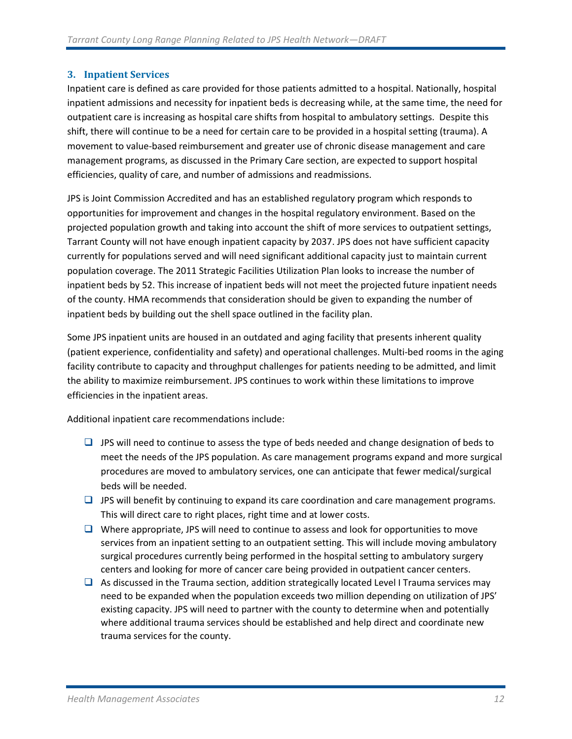#### <span id="page-13-0"></span>**3. Inpatient Services**

Inpatient care is defined as care provided for those patients admitted to a hospital. Nationally, hospital inpatient admissions and necessity for inpatient beds is decreasing while, at the same time, the need for outpatient care is increasing as hospital care shifts from hospital to ambulatory settings. Despite this shift, there will continue to be a need for certain care to be provided in a hospital setting (trauma). A movement to value-based reimbursement and greater use of chronic disease management and care management programs, as discussed in the Primary Care section, are expected to support hospital efficiencies, quality of care, and number of admissions and readmissions.

JPS is Joint Commission Accredited and has an established regulatory program which responds to opportunities for improvement and changes in the hospital regulatory environment. Based on the projected population growth and taking into account the shift of more services to outpatient settings, Tarrant County will not have enough inpatient capacity by 2037. JPS does not have sufficient capacity currently for populations served and will need significant additional capacity just to maintain current population coverage. The 2011 Strategic Facilities Utilization Plan looks to increase the number of inpatient beds by 52. This increase of inpatient beds will not meet the projected future inpatient needs of the county. HMA recommends that consideration should be given to expanding the number of inpatient beds by building out the shell space outlined in the facility plan.

Some JPS inpatient units are housed in an outdated and aging facility that presents inherent quality (patient experience, confidentiality and safety) and operational challenges. Multi-bed rooms in the aging facility contribute to capacity and throughput challenges for patients needing to be admitted, and limit the ability to maximize reimbursement. JPS continues to work within these limitations to improve efficiencies in the inpatient areas.

Additional inpatient care recommendations include:

- $\Box$  JPS will need to continue to assess the type of beds needed and change designation of beds to meet the needs of the JPS population. As care management programs expand and more surgical procedures are moved to ambulatory services, one can anticipate that fewer medical/surgical beds will be needed.
- $\Box$  JPS will benefit by continuing to expand its care coordination and care management programs. This will direct care to right places, right time and at lower costs.
- $\Box$  Where appropriate, JPS will need to continue to assess and look for opportunities to move services from an inpatient setting to an outpatient setting. This will include moving ambulatory surgical procedures currently being performed in the hospital setting to ambulatory surgery centers and looking for more of cancer care being provided in outpatient cancer centers.
- $\Box$  As discussed in the Trauma section, addition strategically located Level I Trauma services may need to be expanded when the population exceeds two million depending on utilization of JPS' existing capacity. JPS will need to partner with the county to determine when and potentially where additional trauma services should be established and help direct and coordinate new trauma services for the county.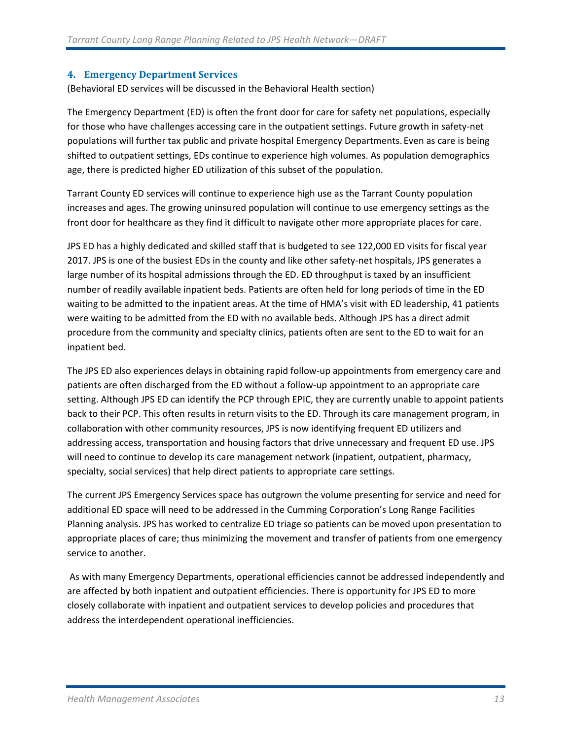#### <span id="page-14-0"></span>**4. Emergency Department Services**

(Behavioral ED services will be discussed in the Behavioral Health section)

The Emergency Department (ED) is often the front door for care for safety net populations, especially for those who have challenges accessing care in the outpatient settings. Future growth in safety-net populations will further tax public and private hospital Emergency Departments. Even as care is being shifted to outpatient settings, EDs continue to experience high volumes. As population demographics age, there is predicted higher ED utilization of this subset of the population.

Tarrant County ED services will continue to experience high use as the Tarrant County population increases and ages. The growing uninsured population will continue to use emergency settings as the front door for healthcare as they find it difficult to navigate other more appropriate places for care.

JPS ED has a highly dedicated and skilled staff that is budgeted to see 122,000 ED visits for fiscal year 2017. JPS is one of the busiest EDs in the county and like other safety-net hospitals, JPS generates a large number of its hospital admissions through the ED. ED throughput is taxed by an insufficient number of readily available inpatient beds. Patients are often held for long periods of time in the ED waiting to be admitted to the inpatient areas. At the time of HMA's visit with ED leadership, 41 patients were waiting to be admitted from the ED with no available beds. Although JPS has a direct admit procedure from the community and specialty clinics, patients often are sent to the ED to wait for an inpatient bed.

The JPS ED also experiences delays in obtaining rapid follow-up appointments from emergency care and patients are often discharged from the ED without a follow-up appointment to an appropriate care setting. Although JPS ED can identify the PCP through EPIC, they are currently unable to appoint patients back to their PCP. This often results in return visits to the ED. Through its care management program, in collaboration with other community resources, JPS is now identifying frequent ED utilizers and addressing access, transportation and housing factors that drive unnecessary and frequent ED use. JPS will need to continue to develop its care management network (inpatient, outpatient, pharmacy, specialty, social services) that help direct patients to appropriate care settings.

The current JPS Emergency Services space has outgrown the volume presenting for service and need for additional ED space will need to be addressed in the Cumming Corporation's Long Range Facilities Planning analysis. JPS has worked to centralize ED triage so patients can be moved upon presentation to appropriate places of care; thus minimizing the movement and transfer of patients from one emergency service to another.

As with many Emergency Departments, operational efficiencies cannot be addressed independently and are affected by both inpatient and outpatient efficiencies. There is opportunity for JPS ED to more closely collaborate with inpatient and outpatient services to develop policies and procedures that address the interdependent operational inefficiencies.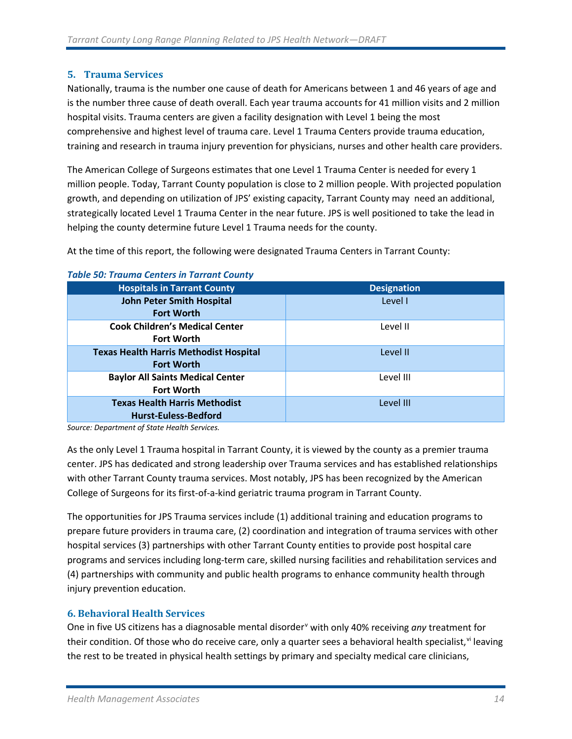#### <span id="page-15-0"></span>**5. Trauma Services**

Nationally, trauma is the number one cause of death for Americans between 1 and 46 years of age and is the number three cause of death overall. Each year trauma accounts for 41 million visits and 2 million hospital visits. Trauma centers are given a facility designation with Level 1 being the most comprehensive and highest level of trauma care. Level 1 Trauma Centers provide trauma education, training and research in trauma injury prevention for physicians, nurses and other health care providers.

The American College of Surgeons estimates that one Level 1 Trauma Center is needed for every 1 million people. Today, Tarrant County population is close to 2 million people. With projected population growth, and depending on utilization of JPS' existing capacity, Tarrant County may need an additional, strategically located Level 1 Trauma Center in the near future. JPS is well positioned to take the lead in helping the county determine future Level 1 Trauma needs for the county.

At the time of this report, the following were designated Trauma Centers in Tarrant County:

| <b>Hospitals in Tarrant County</b>            | <b>Designation</b> |
|-----------------------------------------------|--------------------|
| <b>John Peter Smith Hospital</b>              | Level I            |
| <b>Fort Worth</b>                             |                    |
| <b>Cook Children's Medical Center</b>         | Level II           |
| <b>Fort Worth</b>                             |                    |
| <b>Texas Health Harris Methodist Hospital</b> | Level II           |
| <b>Fort Worth</b>                             |                    |
| <b>Baylor All Saints Medical Center</b>       | Level III          |
| <b>Fort Worth</b>                             |                    |
| <b>Texas Health Harris Methodist</b>          | Level III          |
| <b>Hurst-Euless-Bedford</b>                   |                    |
|                                               |                    |

#### *Table 50: Trauma Centers in Tarrant County*

*Source: Department of State Health Services.* 

As the only Level 1 Trauma hospital in Tarrant County, it is viewed by the county as a premier trauma center. JPS has dedicated and strong leadership over Trauma services and has established relationships with other Tarrant County trauma services. Most notably, JPS has been recognized by the American College of Surgeons for its first-of-a-kind geriatric trauma program in Tarrant County.

The opportunities for JPS Trauma services include (1) additional training and education programs to prepare future providers in trauma care, (2) coordination and integration of trauma services with other hospital services (3) partnerships with other Tarrant County entities to provide post hospital care programs and services including long-term care, skilled nursing facilities and rehabilitation services and (4) partnerships with community and public health programs to enhance community health through injury prevention education.

#### <span id="page-15-1"></span>**6. Behavioral Health Services**

One in fi[v](#page-31-4)e US citizens has a diagnosable mental disorder<sup>y</sup> with only 40% receiving *any* treatment for their condition. Of those who do receive care, only a quarter sees a beha[vi](#page-31-5)oral health specialist, vi leaving the rest to be treated in physical health settings by primary and specialty medical care clinicians,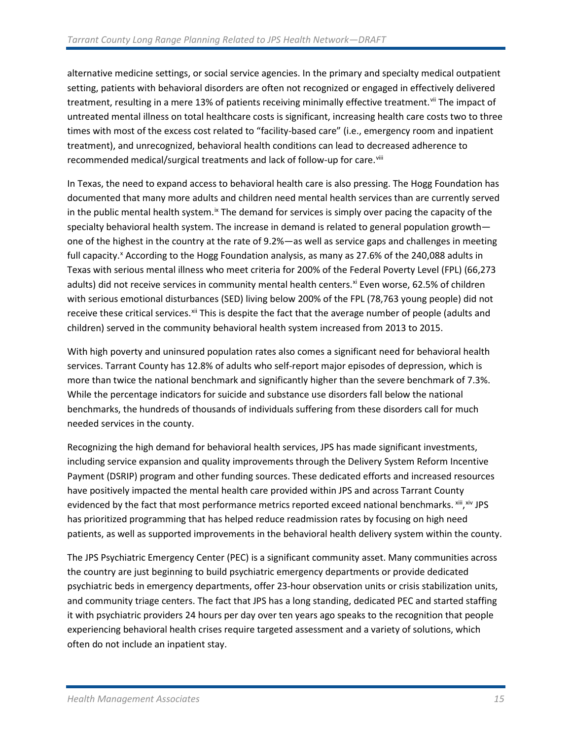alternative medicine settings, or social service agencies. In the primary and specialty medical outpatient setting, patients with behavioral disorders are often not recognized or engaged in effectively delivered treatment, resulting in a mere 13% of patients receiving minimally effective treatment.<sup>[vii](#page-32-0)</sup> The impact of untreated mental illness on total healthcare costs is significant, increasing health care costs two to three times with most of the excess cost related to "facility-based care" (i.e., emergency room and inpatient treatment), and unrecognized, behavioral health conditions can lead to decreased adherence to recommended medical/surgical treatments and lack of follow-up for care.<sup>[viii](#page-32-1)</sup>

In Texas, the need to expand access to behavioral health care is also pressing. The Hogg Foundation has documented that many more adults and children need mental health services than are currently served in the public mental health system.<sup>[ix](#page-32-2)</sup> The demand for services is simply over pacing the capacity of the specialty behavioral health system. The increase in demand is related to general population growth one of the highest in the country at the rate of 9.2%—as well as service gaps and challenges in meeting full capacity.<sup>[x](#page-32-3)</sup> According to the Hogg Foundation analysis, as many as 27.6% of the 240,088 adults in Texas with serious mental illness who meet criteria for 200% of the Federal Poverty Level (FPL) (66,273 adults) did not receive services in community mental health centers.<sup>[xi](#page-32-4)</sup> Even worse, 62.5% of children with serious emotional disturbances (SED) living below 200% of the FPL (78,763 young people) did not receive these critical services.<sup>[xii](#page-32-5)</sup> This is despite the fact that the average number of people (adults and children) served in the community behavioral health system increased from 2013 to 2015.

With high poverty and uninsured population rates also comes a significant need for behavioral health services. Tarrant County has 12.8% of adults who self-report major episodes of depression, which is more than twice the national benchmark and significantly higher than the severe benchmark of 7.3%. While the percentage indicators for suicide and substance use disorders fall below the national benchmarks, the hundreds of thousands of individuals suffering from these disorders call for much needed services in the county.

Recognizing the high demand for behavioral health services, JPS has made significant investments, including service expansion and quality improvements through the Delivery System Reform Incentive Payment (DSRIP) program and other funding sources. These dedicated efforts and increased resources have positively impacted the mental health care provided within JPS and across Tarrant County evidenced by the fact that most performance metrics reported exceed national benchmarks. [xiii](#page-32-6), [xiv](#page-32-7) JPS has prioritized programming that has helped reduce readmission rates by focusing on high need patients, as well as supported improvements in the behavioral health delivery system within the county.

The JPS Psychiatric Emergency Center (PEC) is a significant community asset. Many communities across the country are just beginning to build psychiatric emergency departments or provide dedicated psychiatric beds in emergency departments, offer 23-hour observation units or crisis stabilization units, and community triage centers. The fact that JPS has a long standing, dedicated PEC and started staffing it with psychiatric providers 24 hours per day over ten years ago speaks to the recognition that people experiencing behavioral health crises require targeted assessment and a variety of solutions, which often do not include an inpatient stay.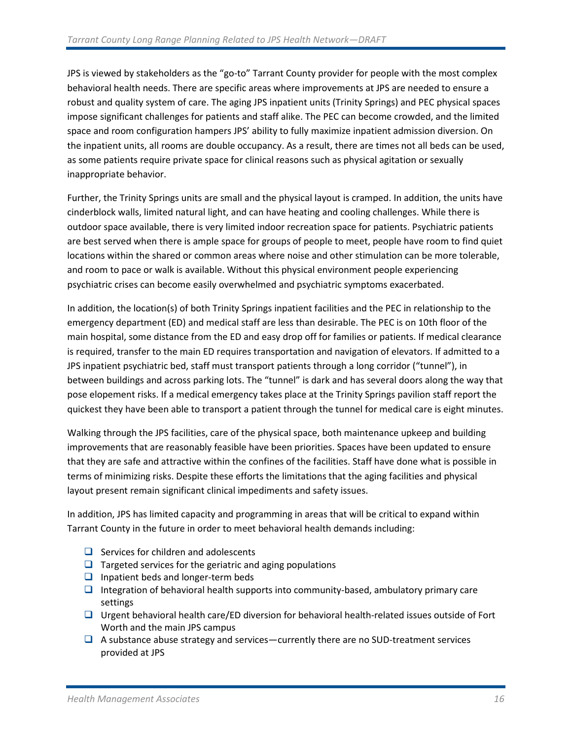JPS is viewed by stakeholders as the "go-to" Tarrant County provider for people with the most complex behavioral health needs. There are specific areas where improvements at JPS are needed to ensure a robust and quality system of care. The aging JPS inpatient units (Trinity Springs) and PEC physical spaces impose significant challenges for patients and staff alike. The PEC can become crowded, and the limited space and room configuration hampers JPS' ability to fully maximize inpatient admission diversion. On the inpatient units, all rooms are double occupancy. As a result, there are times not all beds can be used, as some patients require private space for clinical reasons such as physical agitation or sexually inappropriate behavior.

Further, the Trinity Springs units are small and the physical layout is cramped. In addition, the units have cinderblock walls, limited natural light, and can have heating and cooling challenges. While there is outdoor space available, there is very limited indoor recreation space for patients. Psychiatric patients are best served when there is ample space for groups of people to meet, people have room to find quiet locations within the shared or common areas where noise and other stimulation can be more tolerable, and room to pace or walk is available. Without this physical environment people experiencing psychiatric crises can become easily overwhelmed and psychiatric symptoms exacerbated.

In addition, the location(s) of both Trinity Springs inpatient facilities and the PEC in relationship to the emergency department (ED) and medical staff are less than desirable. The PEC is on 10th floor of the main hospital, some distance from the ED and easy drop off for families or patients. If medical clearance is required, transfer to the main ED requires transportation and navigation of elevators. If admitted to a JPS inpatient psychiatric bed, staff must transport patients through a long corridor ("tunnel"), in between buildings and across parking lots. The "tunnel" is dark and has several doors along the way that pose elopement risks. If a medical emergency takes place at the Trinity Springs pavilion staff report the quickest they have been able to transport a patient through the tunnel for medical care is eight minutes.

Walking through the JPS facilities, care of the physical space, both maintenance upkeep and building improvements that are reasonably feasible have been priorities. Spaces have been updated to ensure that they are safe and attractive within the confines of the facilities. Staff have done what is possible in terms of minimizing risks. Despite these efforts the limitations that the aging facilities and physical layout present remain significant clinical impediments and safety issues.

In addition, JPS has limited capacity and programming in areas that will be critical to expand within Tarrant County in the future in order to meet behavioral health demands including:

- $\Box$  Services for children and adolescents
- $\Box$  Targeted services for the geriatric and aging populations
- $\Box$  Inpatient beds and longer-term beds
- $\Box$  Integration of behavioral health supports into community-based, ambulatory primary care settings
- $\Box$  Urgent behavioral health care/ED diversion for behavioral health-related issues outside of Fort Worth and the main JPS campus
- $\Box$  A substance abuse strategy and services—currently there are no SUD-treatment services provided at JPS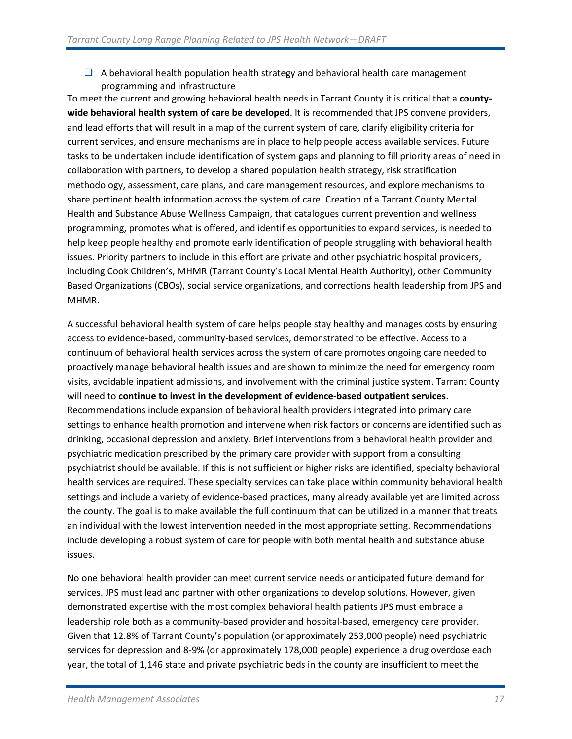$\Box$  A behavioral health population health strategy and behavioral health care management programming and infrastructure

To meet the current and growing behavioral health needs in Tarrant County it is critical that a **countywide behavioral health system of care be developed**. It is recommended that JPS convene providers, and lead efforts that will result in a map of the current system of care, clarify eligibility criteria for current services, and ensure mechanisms are in place to help people access available services. Future tasks to be undertaken include identification of system gaps and planning to fill priority areas of need in collaboration with partners, to develop a shared population health strategy, risk stratification methodology, assessment, care plans, and care management resources, and explore mechanisms to share pertinent health information across the system of care. Creation of a Tarrant County Mental Health and Substance Abuse Wellness Campaign, that catalogues current prevention and wellness programming, promotes what is offered, and identifies opportunities to expand services, is needed to help keep people healthy and promote early identification of people struggling with behavioral health issues. Priority partners to include in this effort are private and other psychiatric hospital providers, including Cook Children's, MHMR (Tarrant County's Local Mental Health Authority), other Community Based Organizations (CBOs), social service organizations, and corrections health leadership from JPS and MHMR.

A successful behavioral health system of care helps people stay healthy and manages costs by ensuring access to evidence-based, community-based services, demonstrated to be effective. Access to a continuum of behavioral health services across the system of care promotes ongoing care needed to proactively manage behavioral health issues and are shown to minimize the need for emergency room visits, avoidable inpatient admissions, and involvement with the criminal justice system. Tarrant County will need to **continue to invest in the development of evidence-based outpatient services**. Recommendations include expansion of behavioral health providers integrated into primary care settings to enhance health promotion and intervene when risk factors or concerns are identified such as drinking, occasional depression and anxiety. Brief interventions from a behavioral health provider and psychiatric medication prescribed by the primary care provider with support from a consulting psychiatrist should be available. If this is not sufficient or higher risks are identified, specialty behavioral health services are required. These specialty services can take place within community behavioral health settings and include a variety of evidence-based practices, many already available yet are limited across the county. The goal is to make available the full continuum that can be utilized in a manner that treats an individual with the lowest intervention needed in the most appropriate setting. Recommendations include developing a robust system of care for people with both mental health and substance abuse issues.

No one behavioral health provider can meet current service needs or anticipated future demand for services. JPS must lead and partner with other organizations to develop solutions. However, given demonstrated expertise with the most complex behavioral health patients JPS must embrace a leadership role both as a community-based provider and hospital-based, emergency care provider. Given that 12.8% of Tarrant County's population (or approximately 253,000 people) need psychiatric services for depression and 8-9% (or approximately 178,000 people) experience a drug overdose each year, the total of 1,146 state and private psychiatric beds in the county are insufficient to meet the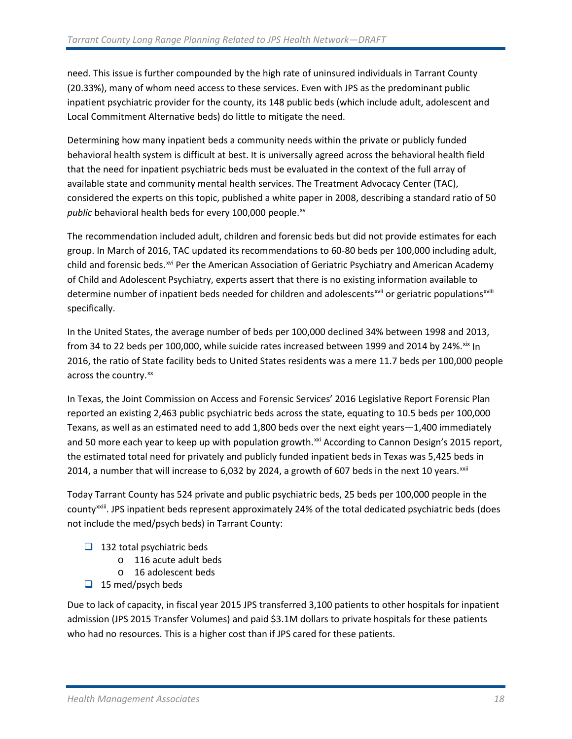need. This issue is further compounded by the high rate of uninsured individuals in Tarrant County (20.33%), many of whom need access to these services. Even with JPS as the predominant public inpatient psychiatric provider for the county, its 148 public beds (which include adult, adolescent and Local Commitment Alternative beds) do little to mitigate the need.

Determining how many inpatient beds a community needs within the private or publicly funded behavioral health system is difficult at best. It is universally agreed across the behavioral health field that the need for inpatient psychiatric beds must be evaluated in the context of the full array of available state and community mental health services. The Treatment Advocacy Center (TAC), considered the experts on this topic, published a white paper in 2008, describing a standard ratio of 50 *public* behavioral health beds for every 100,000 people.<sup>[xv](#page-32-8)</sup>

The recommendation included adult, children and forensic beds but did not provide estimates for each group. In March of 2016, TAC updated its recommendations to 60-80 beds per 100,000 including adult, child and forensic beds.<sup>[xvi](#page-32-9)</sup> Per the American Association of Geriatric Psychiatry and American Academy determine number of inpatient beds needed for children and adolescents<sup>[xvii](#page-32-10)</sup> or geriatric populations<sup>xviii</sup> of Child and Adolescent Psychiatry, experts assert that there is no existing information available to specifically.

In the United States, the average number of beds per 100,000 declined 34% between 1998 and 2013, from 34 to 22 beds per 100,000, while suicide rates increased between 1999 and 2014 by 24%. $\frac{1}{x}$  In 2016, the ratio of State facility beds to United States residents was a mere 11.7 beds per 100,000 people across the country.<sup>[xx](#page-32-12)</sup>

In Texas, the Joint Commission on Access and Forensic Services' 2016 Legislative Report Forensic Plan reported an existing 2,463 public psychiatric beds across the state, equating to 10.5 beds per 100,000 Texans, as well as an estimated need to add 1,800 beds over the next eight years—1,400 immediately and 50 more each year to keep up with population growth.<sup>[xxi](#page-32-13)</sup> According to Cannon Design's 2015 report, the estimated total need for privately and publicly funded inpatient beds in Texas was 5,425 beds in 2014, a number that will increase to 6,032 by 2024, a growth of 607 beds in the next 10 years. XXII

Today Tarrant County has 524 private and public psychiatric beds, 25 beds per 100,000 people in the countyxxiii. JPS inpatient beds represent approximately [24%](#page-32-15) of the total dedicated psychiatric beds (does not include the med/psych beds) in Tarrant County:

- $\Box$  132 total psychiatric beds
	- o 116 acute adult beds
	- o 16 adolescent beds
- $\Box$  15 med/psych beds

Due to lack of capacity, in fiscal year 2015 JPS transferred 3,100 patients to other hospitals for inpatient admission (JPS 2015 Transfer Volumes) and paid \$3.1M dollars to private hospitals for these patients who had no resources. This is a higher cost than if JPS cared for these patients.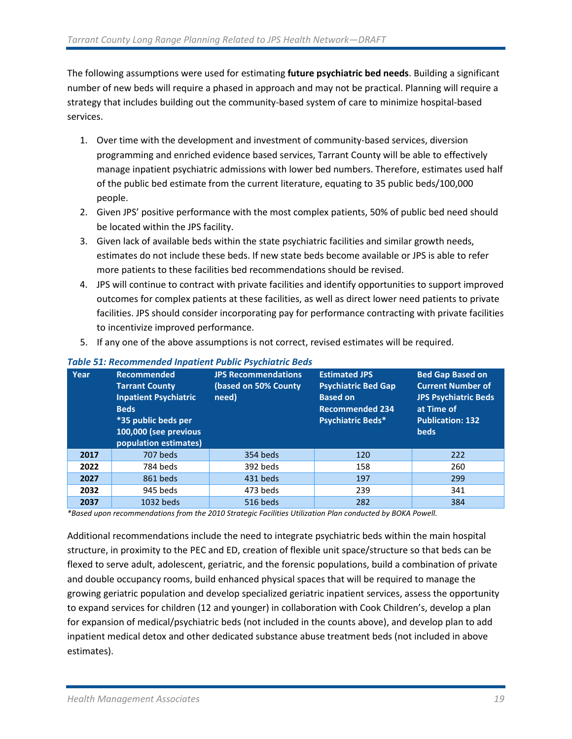The following assumptions were used for estimating **future psychiatric bed needs**. Building a significant number of new beds will require a phased in approach and may not be practical. Planning will require a strategy that includes building out the community-based system of care to minimize hospital-based services.

- 1. Over time with the development and investment of community-based services, diversion programming and enriched evidence based services, Tarrant County will be able to effectively manage inpatient psychiatric admissions with lower bed numbers. Therefore, estimates used half of the public bed estimate from the current literature, equating to 35 public beds/100,000 people.
- 2. Given JPS' positive performance with the most complex patients, 50% of public bed need should be located within the JPS facility.
- 3. Given lack of available beds within the state psychiatric facilities and similar growth needs, estimates do not include these beds. If new state beds become available or JPS is able to refer more patients to these facilities bed recommendations should be revised.
- 4. JPS will continue to contract with private facilities and identify opportunities to support improved outcomes for complex patients at these facilities, as well as direct lower need patients to private facilities. JPS should consider incorporating pay for performance contracting with private facilities to incentivize improved performance.
- 5. If any one of the above assumptions is not correct, revised estimates will be required.

| Year | <b>Recommended</b><br><b>Tarrant County</b><br><b>Inpatient Psychiatric</b><br><b>Beds</b><br>*35 public beds per<br>100,000 (see previous<br>population estimates) | <b>JPS Recommendations</b><br>(based on 50% County<br>need) | <b>Estimated JPS</b><br><b>Psychiatric Bed Gap</b><br><b>Based on</b><br><b>Recommended 234</b><br>Psychiatric Beds* | <b>Bed Gap Based on</b><br><b>Current Number of</b><br><b>JPS Psychiatric Beds</b><br>at Time of<br><b>Publication: 132</b><br><b>beds</b> |
|------|---------------------------------------------------------------------------------------------------------------------------------------------------------------------|-------------------------------------------------------------|----------------------------------------------------------------------------------------------------------------------|--------------------------------------------------------------------------------------------------------------------------------------------|
| 2017 | 707 beds                                                                                                                                                            | 354 beds                                                    | 120                                                                                                                  | 222                                                                                                                                        |
| 2022 | 784 beds                                                                                                                                                            | 392 beds                                                    | 158                                                                                                                  | 260                                                                                                                                        |
| 2027 | 861 beds                                                                                                                                                            | 431 beds                                                    | 197                                                                                                                  | 299                                                                                                                                        |
| 2032 | 945 beds                                                                                                                                                            | 473 beds                                                    | 239                                                                                                                  | 341                                                                                                                                        |
| 2037 | 1032 beds                                                                                                                                                           | 516 beds                                                    | 282                                                                                                                  | 384                                                                                                                                        |

#### *Table 51: Recommended Inpatient Public Psychiatric Beds*

*\*Based upon recommendations from the 2010 Strategic Facilities Utilization Plan conducted by BOKA Powell.*

Additional recommendations include the need to integrate psychiatric beds within the main hospital structure, in proximity to the PEC and ED, creation of flexible unit space/structure so that beds can be flexed to serve adult, adolescent, geriatric, and the forensic populations, build a combination of private and double occupancy rooms, build enhanced physical spaces that will be required to manage the growing geriatric population and develop specialized geriatric inpatient services, assess the opportunity to expand services for children (12 and younger) in collaboration with Cook Children's, develop a plan for expansion of medical/psychiatric beds (not included in the counts above), and develop plan to add inpatient medical detox and other dedicated substance abuse treatment beds (not included in above estimates).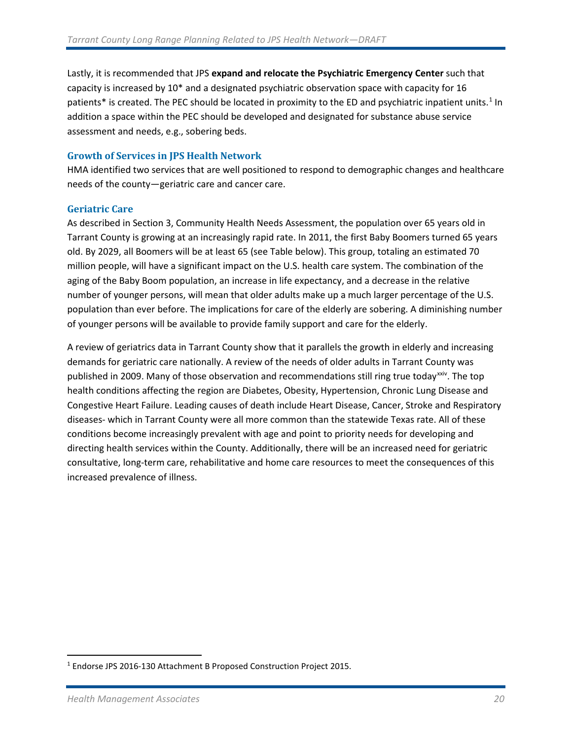Lastly, it is recommended that JPS **expand and relocate the Psychiatric Emergency Center** such that capacity is increased by 10\* and a designated psychiatric observation space with capacity for 16 patients\* is created. The PEC should be located in proximity to the ED and psychiatric inpatient units.<sup>[1](#page-21-1)</sup> In addition a space within the PEC should be developed and designated for substance abuse service assessment and needs, e.g., sobering beds.

#### **Growth of Services in JPS Health Network**

HMA identified two services that are well positioned to respond to demographic changes and healthcare needs of the county—geriatric care and cancer care.

#### <span id="page-21-0"></span>**Geriatric Care**

As described in Section 3, Community Health Needs Assessment, the population over 65 years old in Tarrant County is growing at an increasingly rapid rate. In 2011, the first Baby Boomers turned 65 years old. By 2029, all Boomers will be at least 65 (see Table below). This group, totaling an estimated 70 million people, will have a significant impact on the U.S. health care system. The combination of the aging of the Baby Boom population, an increase in life expectancy, and a decrease in the relative number of younger persons, will mean that older adults make up a much larger percentage of the U.S. population than ever before. The implications for care of the elderly are sobering. A diminishing number of younger persons will be available to provide family support and care for the elderly.

A review of geriatrics data in Tarrant County show that it parallels the growth in elderly and increasing demands for geriatric care nationally. A review of the needs of older adults in Tarrant County was published in 2009. Many of those observation and recommendations still ring true today<sup>xxiv</sup>. The top health conditions affecting the region are Diabetes, Obesity, Hypertension, Chronic Lung Disease and Congestive Heart Failure. Leading causes of death include Heart Disease, Cancer, Stroke and Respiratory diseases- which in Tarrant County were all more common than the statewide Texas rate. All of these conditions become increasingly prevalent with age and point to priority needs for developing and directing health services within the County. Additionally, there will be an increased need for geriatric consultative, long-term care, rehabilitative and home care resources to meet the consequences of this increased prevalence of illness.

<span id="page-21-1"></span><sup>&</sup>lt;sup>1</sup> Endorse JPS 2016-130 Attachment B Proposed Construction Project 2015.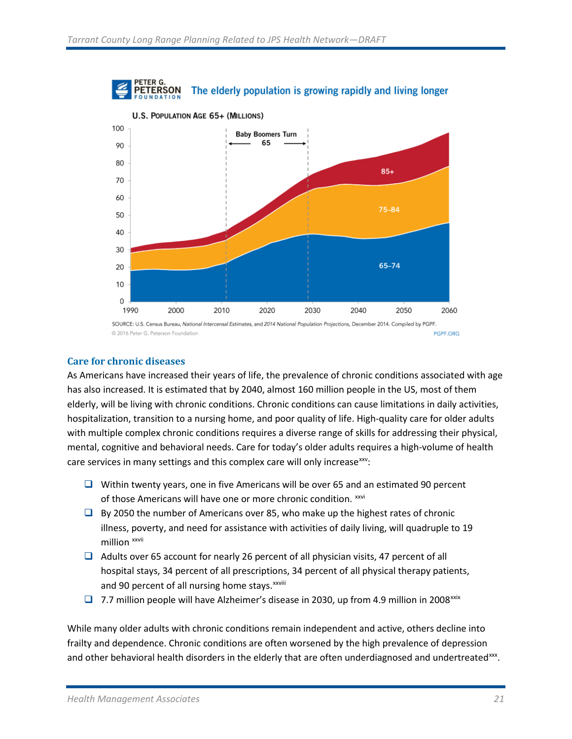



2016 Peter G. Peterson Foundation PGPF.ORG

#### <span id="page-22-0"></span>**Care for chronic diseases**

As Americans have increased their years of life, the prevalence of chronic conditions associated with age has also increased. It is estimated that by 2040, almost 160 million people in the US, most of them elderly, will be living with chronic conditions. Chronic conditions can cause limitations in daily activities, hospitalization, transition to a nursing home, and poor quality of life. High-quality care for older adults with multiple complex chronic conditions requires a diverse range of skills for addressing their physical, mental, cognitive and behavioral needs. Care for today's older adults requires a high-volume of health care services in many settings and this complex care will only increase[xxv:](#page-32-17)

- $\Box$  Within twenty years, one in five Americans will be over 65 and an estimated 90 percent of those Americans will have one or more chronic condition. [xxvi](#page-32-18)
- $\Box$  By 2050 the number of Americans over 85, who make up the highest rates of chronic illness, poverty, and need for assistance with activities of daily living, will quadruple to 19 million xxvii
- $\Box$  Adults over 65 account for nearly 26 percent of all physician visits, 47 percent of all hospital stays, 34 percent of all prescriptions, 34 percent of all physical therapy patients, and 90 percent of all nurs[i](#page-32-19)ng home stays. xxviii
- 7.7 million people will have Alzheimer's disease in 2030, up from 4.9 million in 2008<sup>[xxix](#page-32-20)</sup>

While many older adults with chronic conditions remain independent and active, others decline into frailty and dependence. Chronic conditions are often worsened by the high prevalence of depression and other behavioral health disorders in the elderly that are often underdiagnosed and undertreated[xxx.](#page-32-21)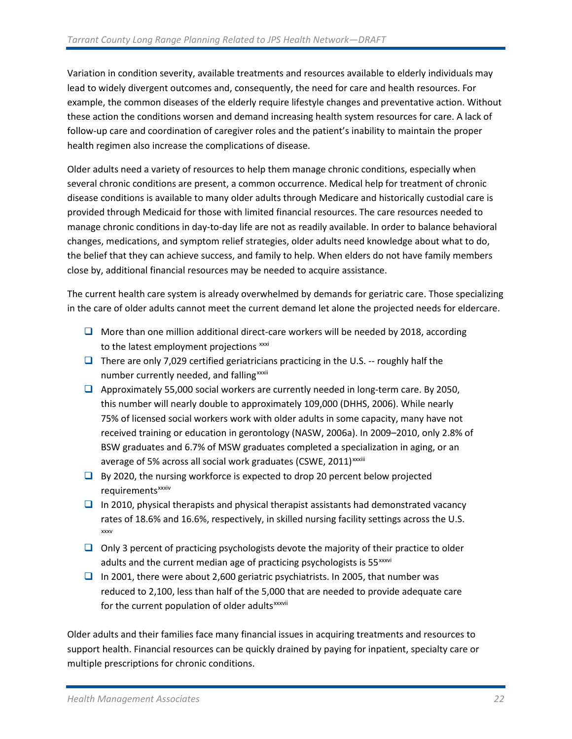Variation in condition severity, available treatments and resources available to elderly individuals may lead to widely divergent outcomes and, consequently, the need for care and health resources. For example, the common diseases of the elderly require lifestyle changes and preventative action. Without these action the conditions worsen and demand increasing health system resources for care. A lack of follow-up care and coordination of caregiver roles and the patient's inability to maintain the proper health regimen also increase the complications of disease.

Older adults need a variety of resources to help them manage chronic conditions, especially when several chronic conditions are present, a common occurrence. Medical help for treatment of chronic disease conditions is available to many older adults through Medicare and historically custodial care is provided through Medicaid for those with limited financial resources. The care resources needed to manage chronic conditions in day-to-day life are not as readily available. In order to balance behavioral changes, medications, and symptom relief strategies, older adults need knowledge about what to do, the belief that they can achieve success, and family to help. When elders do not have family members close by, additional financial resources may be needed to acquire assistance.

The current health care system is already overwhelmed by demands for geriatric care. Those specializing in the care of older adults cannot meet the current demand let alone the projected needs for eldercare.

- $\Box$  More than one million additional direct-care workers will be needed by 2018, according to the latest employment projections [xxxi](#page-32-22)
- **There are only 7,029 certified geriatricians practicing in the U.S.** -- roughly half the number currently needed, and fall[i](#page-32-23)ng<sup>xxxii</sup>
- $\Box$  Approximately 55,000 social workers are currently needed in long-term care. By 2050, this number will nearly double to approximately 109,000 (DHHS, 2006). While nearly 75% of licensed social workers work with older adults in some capacity, many have not received training or education in gerontology (NASW, 2006a). In 2009–2010, only 2.8% of BSW graduates and 6.7% of MSW graduates completed a specialization in aging, or an average of 5% across all soc[i](#page-32-24)al work graduates (CSWE, 2011)<sup>xxxiii</sup>
- $\Box$  By 2020, the nursing workforce is expected to drop 20 percent below projected requirements<sup>xxxiv</sup>
- $\Box$  In 2010, physical therapists and physical therapist assistants had demonstrated vacancy rates of 18.6% and 16.6%, respectively, in skilled nursing facility settings across the U.S. [xxxv](#page-32-25)
- $\Box$  Only 3 percent of practicing psychologists devote the majority of their practice to older adults and the current med[i](#page-32-26)an age of practicing psychologists is 55<sup>xxxvi</sup>
- In 2001, there were about 2,600 geriatric psychiatrists. In 2005, that number was reduced to 2,100, less than half of the 5,000 that are needed to provide adequate care for the current populat[i](#page-32-27)on of older adults<sup>xxxvii</sup>

[Older adults and their families face many financial issues in acquiring treatments and resources to](http://www.nursingworld.org/MainMenuCategories/ANAMarketplace/ANAPeriodicals/OJIN/TableofContents/Volume82003/No2May2003/OlderCitizensHealthIssues.html#Census96)  [support health. Financial resources can be quickly drained by paying for inpatient, specialty care or](http://www.nursingworld.org/MainMenuCategories/ANAMarketplace/ANAPeriodicals/OJIN/TableofContents/Volume82003/No2May2003/OlderCitizensHealthIssues.html#Census96)  [multiple prescriptions for chronic conditions.](http://www.nursingworld.org/MainMenuCategories/ANAMarketplace/ANAPeriodicals/OJIN/TableofContents/Volume82003/No2May2003/OlderCitizensHealthIssues.html#Census96)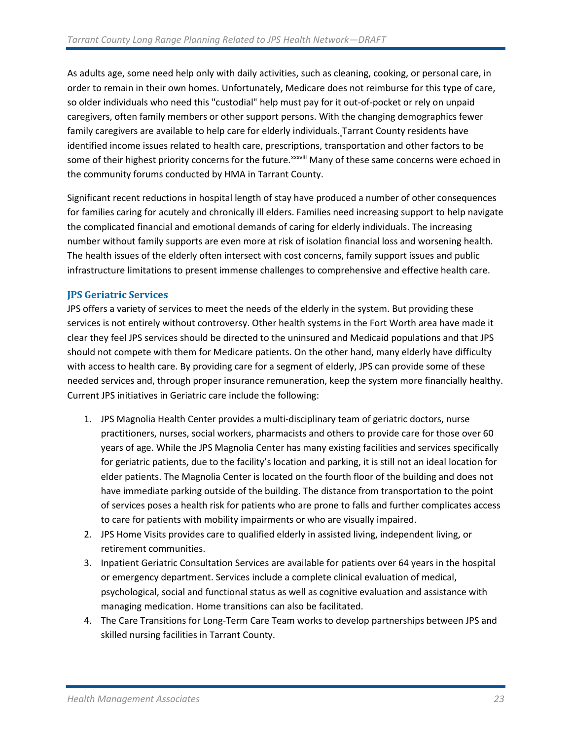[As adults age, some need help only with daily activities, such as cleaning, cooking, or personal care, in](http://www.nursingworld.org/MainMenuCategories/ANAMarketplace/ANAPeriodicals/OJIN/TableofContents/Volume82003/No2May2003/OlderCitizensHealthIssues.html#Census96)  [order to remain in their own homes. Unfortunately, Medicare does not reimburse for this type of care,](http://www.nursingworld.org/MainMenuCategories/ANAMarketplace/ANAPeriodicals/OJIN/TableofContents/Volume82003/No2May2003/OlderCitizensHealthIssues.html#Census96)  [so older individuals who need this "custodial" help must pay for it out-of-pocket or rely on unpaid](http://www.nursingworld.org/MainMenuCategories/ANAMarketplace/ANAPeriodicals/OJIN/TableofContents/Volume82003/No2May2003/OlderCitizensHealthIssues.html#Census96)  [caregivers, often family members or other support persons. With the changing demographics fewer](http://www.nursingworld.org/MainMenuCategories/ANAMarketplace/ANAPeriodicals/OJIN/TableofContents/Volume82003/No2May2003/OlderCitizensHealthIssues.html#Census96)  [family caregivers are available to help care for elderly individuals.](http://www.nursingworld.org/MainMenuCategories/ANAMarketplace/ANAPeriodicals/OJIN/TableofContents/Volume82003/No2May2003/OlderCitizensHealthIssues.html#Census96) Tarrant County residents have identified income issues related to health care, prescriptions, transportation and other factors to be some of their highest priority concerns for the future.<sup>xxxviii</sup> Many of these same concerns were echoed in the community forums conducted by HMA in Tarrant County.

Significant recent reductions in hospital length of stay have produced a number of other consequences for families caring for acutely and chronically ill elders. Families need increasing support to help navigate the complicated financial and emotional demands of caring for elderly individuals. The increasing number without family supports are even more at risk of isolation financial loss and worsening health. The health issues of the elderly often intersect with cost concerns, family support issues and public infrastructure limitations to present immense challenges to comprehensive and effective health care.

#### **JPS Geriatric Services**

JPS offers a variety of services to meet the needs of the elderly in the system. But providing these services is not entirely without controversy. Other health systems in the Fort Worth area have made it clear they feel JPS services should be directed to the uninsured and Medicaid populations and that JPS should not compete with them for Medicare patients. On the other hand, many elderly have difficulty with access to health care. By providing care for a segment of elderly, JPS can provide some of these needed services and, through proper insurance remuneration, keep the system more financially healthy. Current JPS initiatives in Geriatric care include the following:

- 1. JPS Magnolia Health Center provides a multi-disciplinary team of geriatric doctors, nurse practitioners, nurses, social workers, pharmacists and others to provide care for those over 60 years of age. While the JPS Magnolia Center has many existing facilities and services specifically for geriatric patients, due to the facility's location and parking, it is still not an ideal location for elder patients. The Magnolia Center is located on the fourth floor of the building and does not have immediate parking outside of the building. The distance from transportation to the point of services poses a health risk for patients who are prone to falls and further complicates access to care for patients with mobility impairments or who are visually impaired.
- 2. JPS Home Visits provides care to qualified elderly in assisted living, independent living, or retirement communities.
- 3. Inpatient Geriatric Consultation Services are available for patients over 64 years in the hospital or emergency department. Services include a complete clinical evaluation of medical, psychological, social and functional status as well as cognitive evaluation and assistance with managing medication. Home transitions can also be facilitated.
- 4. The Care Transitions for Long-Term Care Team works to develop partnerships between JPS and skilled nursing facilities in Tarrant County.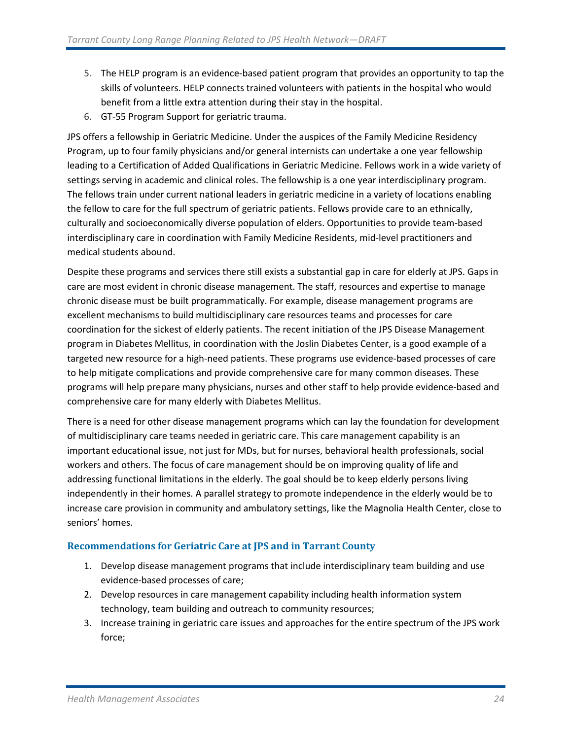- 5. The HELP program is an evidence-based patient program that provides an opportunity to tap the skills of volunteers. HELP connects trained volunteers with patients in the hospital who would benefit from a little extra attention during their stay in the hospital.
- 6. GT-55 Program Support for geriatric trauma.

JPS offers a fellowship in Geriatric Medicine. Under the auspices of the Family Medicine Residency Program, up to four family physicians and/or general internists can undertake a one year fellowship leading to a Certification of Added Qualifications in Geriatric Medicine. Fellows work in a wide variety of settings serving in academic and clinical roles. The fellowship is a one year interdisciplinary program. The fellows train under current national leaders in geriatric medicine in a variety of locations enabling the fellow to care for the full spectrum of geriatric patients. Fellows provide care to an ethnically, culturally and socioeconomically diverse population of elders. Opportunities to provide team-based interdisciplinary care in coordination with Family Medicine Residents, mid-level practitioners and medical students abound.

Despite these programs and services there still exists a substantial gap in care for elderly at JPS. Gaps in care are most evident in chronic disease management. The staff, resources and expertise to manage chronic disease must be built programmatically. For example, disease management programs are excellent mechanisms to build multidisciplinary care resources teams and processes for care coordination for the sickest of elderly patients. The recent initiation of the JPS Disease Management program in Diabetes Mellitus, in coordination with the Joslin Diabetes Center, is a good example of a targeted new resource for a high-need patients. These programs use evidence-based processes of care to help mitigate complications and provide comprehensive care for many common diseases. These programs will help prepare many physicians, nurses and other staff to help provide evidence-based and comprehensive care for many elderly with Diabetes Mellitus.

There is a need for other disease management programs which can lay the foundation for development of multidisciplinary care teams needed in geriatric care. This care management capability is an important educational issue, not just for MDs, but for nurses, behavioral health professionals, social workers and others. The focus of care management should be on improving quality of life and addressing functional limitations in the elderly. The goal should be to keep elderly persons living independently in their homes. A parallel strategy to promote independence in the elderly would be to increase care provision in community and ambulatory settings, like the Magnolia Health Center, close to seniors' homes.

#### **Recommendations for Geriatric Care at JPS and in Tarrant County**

- 1. Develop disease management programs that include interdisciplinary team building and use evidence-based processes of care;
- 2. Develop resources in care management capability including health information system technology, team building and outreach to community resources;
- 3. Increase training in geriatric care issues and approaches for the entire spectrum of the JPS work force;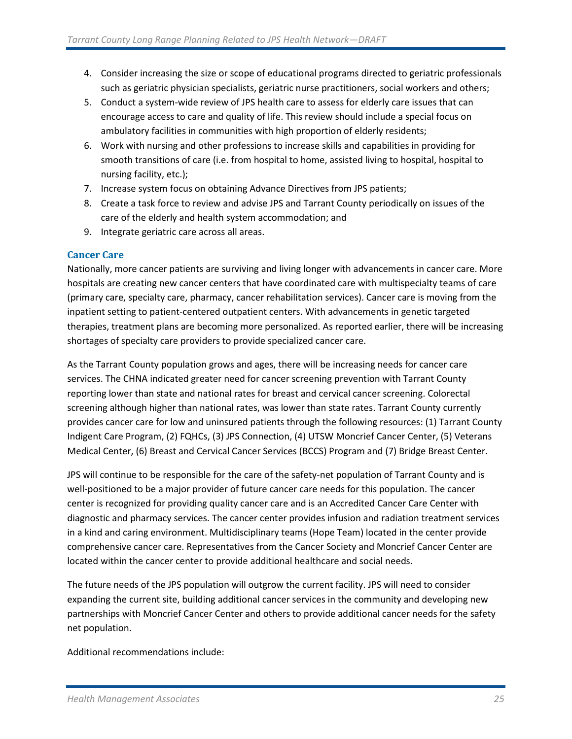- 4. Consider increasing the size or scope of educational programs directed to geriatric professionals such as geriatric physician specialists, geriatric nurse practitioners, social workers and others;
- 5. Conduct a system-wide review of JPS health care to assess for elderly care issues that can encourage access to care and quality of life. This review should include a special focus on ambulatory facilities in communities with high proportion of elderly residents;
- 6. Work with nursing and other professions to increase skills and capabilities in providing for smooth transitions of care (i.e. from hospital to home, assisted living to hospital, hospital to nursing facility, etc.);
- 7. Increase system focus on obtaining Advance Directives from JPS patients;
- 8. Create a task force to review and advise JPS and Tarrant County periodically on issues of the care of the elderly and health system accommodation; and
- 9. Integrate geriatric care across all areas.

#### <span id="page-26-0"></span>**Cancer Care**

Nationally, more cancer patients are surviving and living longer with advancements in cancer care. More hospitals are creating new cancer centers that have coordinated care with multispecialty teams of care (primary care, specialty care, pharmacy, cancer rehabilitation services). Cancer care is moving from the inpatient setting to patient-centered outpatient centers. With advancements in genetic targeted therapies, treatment plans are becoming more personalized. As reported earlier, there will be increasing shortages of specialty care providers to provide specialized cancer care.

As the Tarrant County population grows and ages, there will be increasing needs for cancer care services. The CHNA indicated greater need for cancer screening prevention with Tarrant County reporting lower than state and national rates for breast and cervical cancer screening. Colorectal screening although higher than national rates, was lower than state rates. Tarrant County currently provides cancer care for low and uninsured patients through the following resources: (1) Tarrant County Indigent Care Program, (2) FQHCs, (3) JPS Connection, (4) UTSW Moncrief Cancer Center, (5) Veterans Medical Center, (6) Breast and Cervical Cancer Services (BCCS) Program and (7) Bridge Breast Center.

JPS will continue to be responsible for the care of the safety-net population of Tarrant County and is well-positioned to be a major provider of future cancer care needs for this population. The cancer center is recognized for providing quality cancer care and is an Accredited Cancer Care Center with diagnostic and pharmacy services. The cancer center provides infusion and radiation treatment services in a kind and caring environment. Multidisciplinary teams (Hope Team) located in the center provide comprehensive cancer care. Representatives from the Cancer Society and Moncrief Cancer Center are located within the cancer center to provide additional healthcare and social needs.

The future needs of the JPS population will outgrow the current facility. JPS will need to consider expanding the current site, building additional cancer services in the community and developing new partnerships with Moncrief Cancer Center and others to provide additional cancer needs for the safety net population.

Additional recommendations include: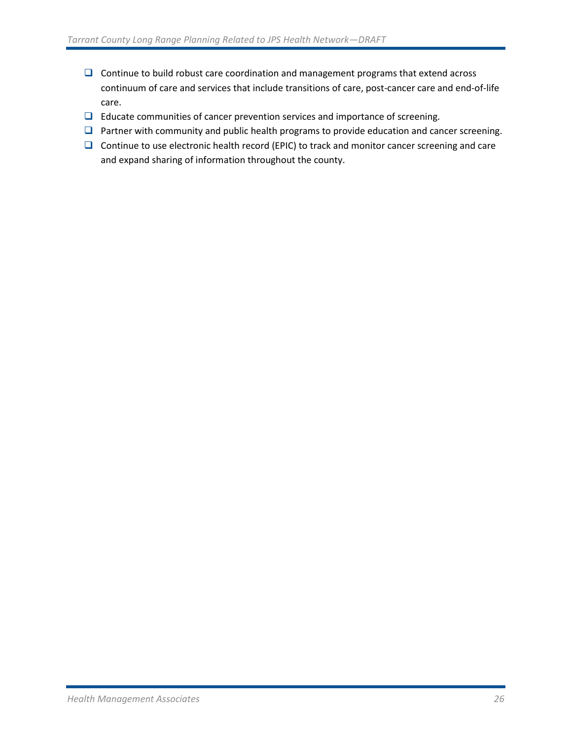- $\Box$  Continue to build robust care coordination and management programs that extend across continuum of care and services that include transitions of care, post-cancer care and end-of-life care.
- □ Educate communities of cancer prevention services and importance of screening.
- $\Box$  Partner with community and public health programs to provide education and cancer screening.
- $\Box$  Continue to use electronic health record (EPIC) to track and monitor cancer screening and care and expand sharing of information throughout the county.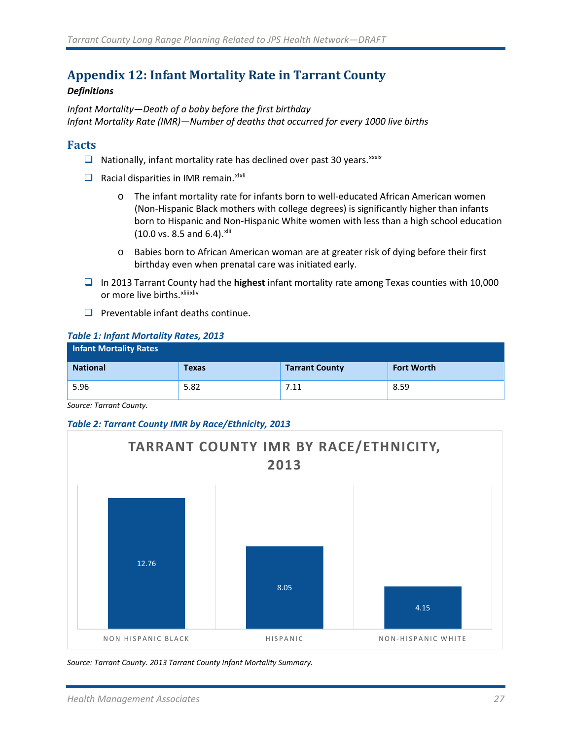## <span id="page-28-0"></span>**Appendix 12: Infant Mortality Rate in Tarrant County**

#### *Definitions*

*Infant Mortality—Death of a baby before the first birthday Infant Mortality Rate (IMR)—Number of deaths that occurred for every 1000 live births*

#### **Facts**

- $\Box$  Nationally, infant mortality rate has declined over past 30 years. XXXIX
- $\Box$  Racial disparities in IMR remain. xi[xl](#page-32-28)i
	- o The infant mortality rate for infants born to well-educated African American women (Non-Hispanic Black mothers with college degrees) is significantly higher than infants born to Hispanic and Non-Hispanic White women with less than a high school education (10.0 vs. 8.5 and 6.4). [xlii](#page-32-30)
	- o Babies born to African American woman are at greater risk of dying before their first birthday even when prenatal care was initiated early.
- In 2013 Tarrant County had the **highest** infant mortality rate among Texas counties with 10,000 or more live births. xliii[xliv](#page-32-31)
- $\Box$  Preventable infant deaths continue.

#### *Table 1: Infant Mortality Rates, 2013*

| <b>Infant Mortality Rates</b> |              |                       |                   |
|-------------------------------|--------------|-----------------------|-------------------|
| <b>National</b>               | <b>Texas</b> | <b>Tarrant County</b> | <b>Fort Worth</b> |
| 5.96                          | 5.82         | 7.11                  | 8.59              |

*Source: Tarrant County.* 

#### *Table 2: Tarrant County IMR by Race/Ethnicity, 2013*



*Source: Tarrant County. 2013 Tarrant County Infant Mortality Summary.*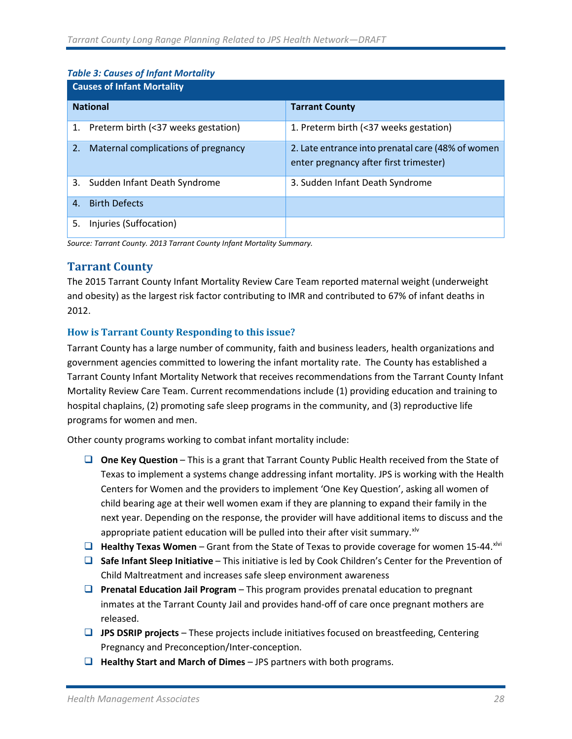#### *Table 3: Causes of Infant Mortality*

| <b>Causes of Infant Mortality</b>         |                                                                                             |  |  |
|-------------------------------------------|---------------------------------------------------------------------------------------------|--|--|
| <b>National</b>                           | <b>Tarrant County</b>                                                                       |  |  |
| 1. Preterm birth (<37 weeks gestation)    | 1. Preterm birth (<37 weeks gestation)                                                      |  |  |
| Maternal complications of pregnancy<br>2. | 2. Late entrance into prenatal care (48% of women<br>enter pregnancy after first trimester) |  |  |
| 3.<br>Sudden Infant Death Syndrome        | 3. Sudden Infant Death Syndrome                                                             |  |  |
| <b>Birth Defects</b><br>4.                |                                                                                             |  |  |
| 5.<br>Injuries (Suffocation)              |                                                                                             |  |  |

*Source: Tarrant County. 2013 Tarrant County Infant Mortality Summary.* 

### **Tarrant County**

The 2015 Tarrant County Infant Mortality Review Care Team reported maternal weight (underweight and obesity) as the largest risk factor contributing to IMR and contributed to 67% of infant deaths in 2012.

#### **How is Tarrant County Responding to this issue?**

Tarrant County has a large number of community, faith and business leaders, health organizations and government agencies committed to lowering the infant mortality rate. The County has established a Tarrant County Infant Mortality Network that receives recommendations from the Tarrant County Infant Mortality Review Care Team. Current recommendations include (1) providing education and training to hospital chaplains, (2) promoting safe sleep programs in the community, and (3) reproductive life programs for women and men.

Other county programs working to combat infant mortality include:

- **One Key Question** This is a grant that Tarrant County Public Health received from the State of Texas to implement a systems change addressing infant mortality. JPS is working with the Health Centers for Women and the providers to implement 'One Key Question', asking all women of child bearing age at their well women exam if they are planning to expand their family in the next year. Depending on the response, the provider will have additional items to discuss and the appropriate patient education will be pulled into their after visit summary. $x^{1/v}$
- **Healthy Texas Women** Grant from the State of Texas to provide coverage for women 15-44.<sup>[xlvi](#page-32-33)</sup>
- **Safe Infant Sleep Initiative** This initiative is led by Cook Children's Center for the Prevention of Child Maltreatment and increases safe sleep environment awareness
- **Prenatal Education Jail Program** This program provides prenatal education to pregnant inmates at the Tarrant County Jail and provides hand-off of care once pregnant mothers are released.
- **JPS DSRIP projects** These projects include initiatives focused on breastfeeding, Centering Pregnancy and Preconception/Inter-conception.
- **Healthy Start and March of Dimes** JPS partners with both programs.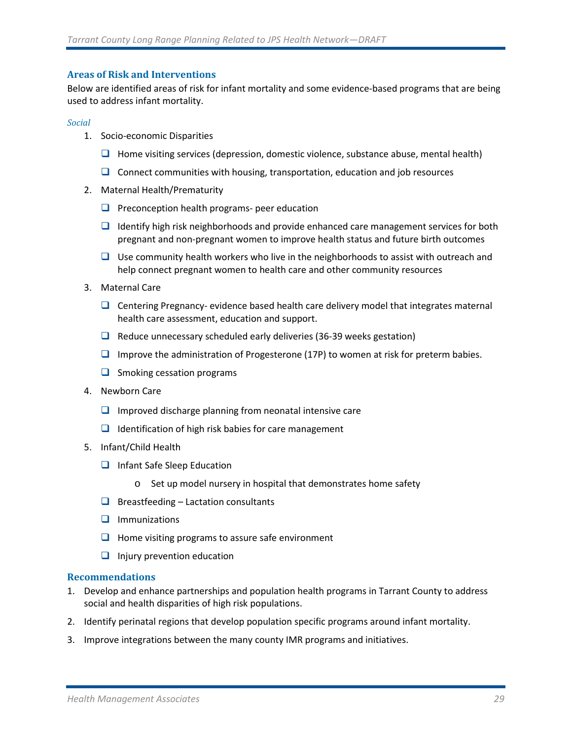#### **Areas of Risk and Interventions**

Below are identified areas of risk for infant mortality and some evidence-based programs that are being used to address infant mortality.

#### *Social*

- 1. Socio-economic Disparities
	- $\Box$  Home visiting services (depression, domestic violence, substance abuse, mental health)
	- $\Box$  Connect communities with housing, transportation, education and job resources
- 2. Maternal Health/Prematurity
	- $\Box$  Preconception health programs- peer education
	- **ID** Identify high risk neighborhoods and provide enhanced care management services for both pregnant and non-pregnant women to improve health status and future birth outcomes
	- $\Box$  Use community health workers who live in the neighborhoods to assist with outreach and help connect pregnant women to health care and other community resources
- 3. Maternal Care
	- $\Box$  Centering Pregnancy- evidence based health care delivery model that integrates maternal health care assessment, education and support.
	- $\Box$  Reduce unnecessary scheduled early deliveries (36-39 weeks gestation)
	- **IMP** Improve the administration of Progesterone (17P) to women at risk for preterm babies.
	- $\Box$  Smoking cessation programs
- 4. Newborn Care
	- $\Box$  Improved discharge planning from neonatal intensive care
	- $\Box$  Identification of high risk babies for care management
- 5. Infant/Child Health
	- $\Box$  Infant Safe Sleep Education
		- o Set up model nursery in hospital that demonstrates home safety
	- $\Box$  Breastfeeding Lactation consultants
	- $\Box$  Immunizations
	- $\Box$  Home visiting programs to assure safe environment
	- $\Box$  Injury prevention education

#### **Recommendations**

- 1. Develop and enhance partnerships and population health programs in Tarrant County to address social and health disparities of high risk populations.
- 2. Identify perinatal regions that develop population specific programs around infant mortality.
- 3. Improve integrations between the many county IMR programs and initiatives.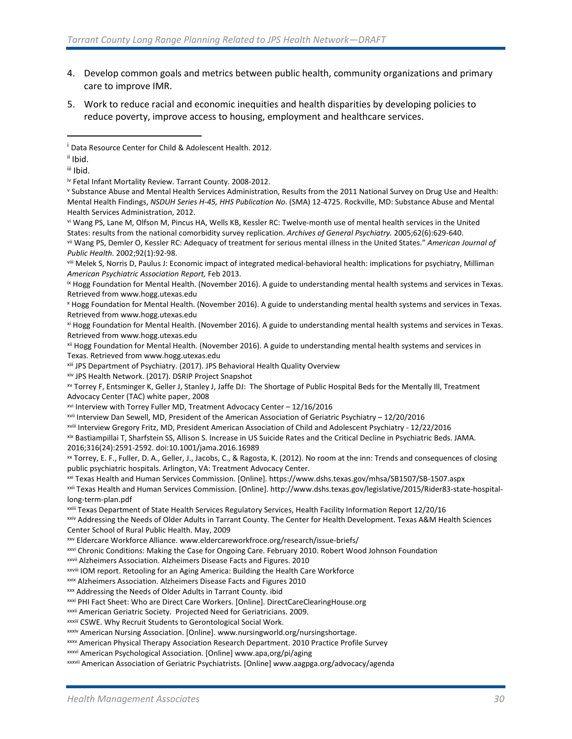- 4. Develop common goals and metrics between public health, community organizations and primary care to improve IMR.
- 5. Work to reduce racial and economic inequities and health disparities by developing policies to reduce poverty, improve access to housing, employment and healthcare services.

<span id="page-31-1"></span>ii Ibid.

 $\overline{\phantom{a}}$ 

<span id="page-31-2"></span>iii Ibid.

<span id="page-31-5"></span>vi Wang PS, Lane M, Olfson M, Pincus HA, Wells KB, Kessler RC: Twelve-month use of mental health services in the United

viii Melek S, Norris D, Paulus J: Economic impact of integrated medical-behavioral health: implications for psychiatry, Milliman *American Psychiatric Association Report,* Feb 2013.<br><sup>ix</sup> Hogg Foundation for Mental Health. (November 2016). A guide to understanding mental health systems and services in Texas.

<sup>x</sup> Hogg Foundation for Mental Health. (November 2016). A guide to understanding mental health systems and services in Texas. Retrieved from www.hogg.utexas.edu

xi Hogg Foundation for Mental Health. (November 2016). A guide to understanding mental health systems and services in Texas. Retrieved from www.hogg.utexas.edu

xii Hogg Foundation for Mental Health. (November 2016). A guide to understanding mental health systems and services in Texas. Retrieved from www.hogg.utexas.edu

xiii JPS Department of Psychiatry. (2017). JPS Behavioral Health Quality Overview

xiv JPS Health Network. (2017). DSRIP Project Snapshot

xv Torrey F, Entsminger K, Geller J, Stanley J, Jaffe DJ: The Shortage of Public Hospital Beds for the Mentally Ill, Treatment Advocacy Center (TAC) white paper, 2008

xvi Interview with Torrey Fuller MD, Treatment Advocacy Center – 12/16/2016

xvii Interview Dan Sewell, MD, President of the American Association of Geriatric Psychiatry – 12/20/2016

xviii Interview Gregory Fritz, MD, President American Association of Child and Adolescent Psychiatry - 12/22/2016

xix Bastiampillai T, Sharfstein SS, Allison S. Increase in US Suicide Rates and the Critical Decline in Psychiatric Beds. JAMA. 2016;316(24):2591-2592. doi:10.1001/jama.2016.16989

xx Torrey, E. F., Fuller, D. A., Geller, J., Jacobs, C., & Ragosta, K. (2012). No room at the inn: Trends and consequences of closing public psychiatric hospitals. Arlington, VA: Treatment Advocacy Center.

xxi Texas Health and Human Services Commission. [Online]. https://www.dshs.texas.gov/mhsa/SB1507/SB-1507.aspx

xxii Texas Health and Human Services Commission. [Online]. http://www.dshs.texas.gov/legislative/2015/Rider83-state-hospitallong-term-plan.pdf

xxiii Texas Department of State Health Services Regulatory Services, Health Facility Information Report 12/20/16

xxiv Addressing the Needs of Older Adults in Tarrant County. The Center for Health Development. Texas A&M Health Sciences Center School of Rural Public Health. May, 2009

xxv Eldercare Workforce Alliance. www.eldercareworkfroce.org/research/issue-briefs/

xxvi Chronic Conditions: Making the Case for Ongoing Care. February 2010. Robert Wood Johnson Foundation

xxvii Alzheimers Association. Alzheimers Disease Facts and Figures. 2010<br>xxviii IOM report. Retooling for an Aging America: Building the Health Care Workforce

xxix Alzheimers Association. Alzheimers Disease Facts and Figures 2010

xxx Addressing the Needs of Older Adults in Tarrant County. ibid

xxxi PHI Fact Sheet: Who are Direct Care Workers. [Online]. DirectCareClearingHouse.org

xxxii American Geriatric Society. Projected Need for Geriatricians. 2009.

xxxiii CSWE. Why Recruit Students to Gerontological Social Work.

xxxiv American Nursing Association. [Online]. [www.nursingworld.org/nursingshortage.](http://www.nursingworld.org/nursingshortage)

xxxv American Physical Therapy Association Research Department. 2010 Practice Profile Survey

xxxvi American Psychological Association. [Online] www.apa,org/pi/aging

xxxvii American Association of Geriatric Psychiatrists. [Online] www.aagpga.org/advocacy/agenda

<span id="page-31-0"></span><sup>&</sup>lt;sup>i</sup> Data Resource Center for Child & Adolescent Health. 2012.

<span id="page-31-3"></span>iv Fetal Infant Mortality Review. Tarrant County. 2008-2012.

<span id="page-31-4"></span><sup>v</sup> Substance Abuse and Mental Health Services Administration, Results from the 2011 National Survey on Drug Use and Health: Mental Health Findings, *NSDUH Series H-45, HHS Publication No*. (SMA) 12-4725. Rockville, MD: Substance Abuse and Mental Health Services Administration, 2012.

States: results from the national comorbidity survey replication. Archives of General Psychiatry. 2005;62(6):629-640.<br>vii Wang PS, Demler O, Kessler RC: Adequacy of treatment for serious mental illness in the United States *Public Health.* 2002;92(1):92-98.

Retrieved from www.hogg.utexas.edu